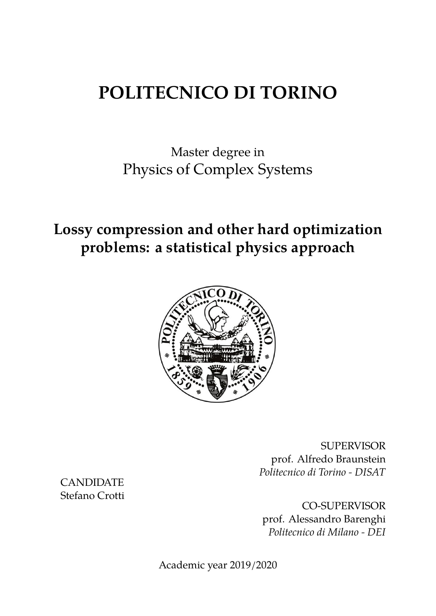# **POLITECNICO DI TORINO**

Master degree in Physics of Complex Systems

**Lossy compression and other hard optimization problems: a statistical physics approach**



SUPERVISOR prof. Alfredo Braunstein *Politecnico di Torino - DISAT*

CO-SUPERVISOR prof. Alessandro Barenghi *Politecnico di Milano - DEI*

Academic year 2019/2020

CANDIDATE Stefano Crotti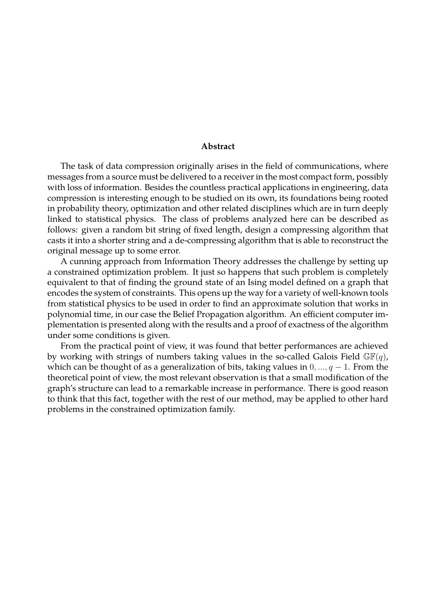#### **Abstract**

The task of data compression originally arises in the field of communications, where messages from a source must be delivered to a receiver in the most compact form, possibly with loss of information. Besides the countless practical applications in engineering, data compression is interesting enough to be studied on its own, its foundations being rooted in probability theory, optimization and other related disciplines which are in turn deeply linked to statistical physics. The class of problems analyzed here can be described as follows: given a random bit string of fixed length, design a compressing algorithm that casts it into a shorter string and a de-compressing algorithm that is able to reconstruct the original message up to some error.

A cunning approach from Information Theory addresses the challenge by setting up a constrained optimization problem. It just so happens that such problem is completely equivalent to that of finding the ground state of an Ising model defined on a graph that encodes the system of constraints. This opens up the way for a variety of well-known tools from statistical physics to be used in order to find an approximate solution that works in polynomial time, in our case the Belief Propagation algorithm. An efficient computer implementation is presented along with the results and a proof of exactness of the algorithm under some conditions is given.

From the practical point of view, it was found that better performances are achieved by working with strings of numbers taking values in the so-called Galois Field  $\mathbb{GF}(q)$ , which can be thought of as a generalization of bits, taking values in 0*, ..., q −* 1. From the theoretical point of view, the most relevant observation is that a small modification of the graph's structure can lead to a remarkable increase in performance. There is good reason to think that this fact, together with the rest of our method, may be applied to other hard problems in the constrained optimization family.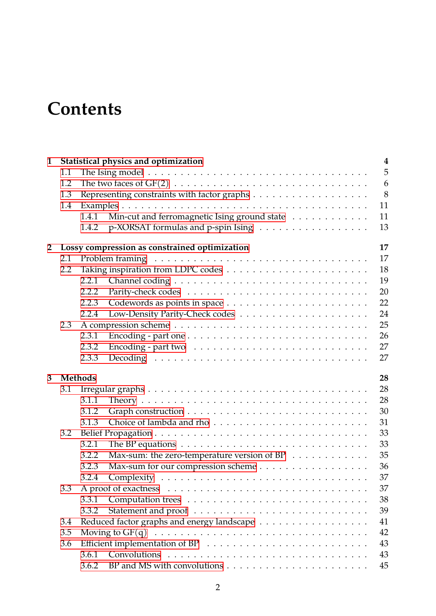# **Contents**

| $\mathbf{1}$   | Statistical physics and optimization |                |                                                                                                |    |  |  |  |  |  |
|----------------|--------------------------------------|----------------|------------------------------------------------------------------------------------------------|----|--|--|--|--|--|
|                | 1.1                                  |                |                                                                                                | 5  |  |  |  |  |  |
|                | 1.2                                  |                | The two faces of $GF(2) \ldots \ldots \ldots \ldots \ldots \ldots \ldots \ldots \ldots \ldots$ | 6  |  |  |  |  |  |
|                | 1.3                                  |                |                                                                                                | 8  |  |  |  |  |  |
|                | 1.4                                  |                |                                                                                                | 11 |  |  |  |  |  |
|                |                                      | 1.4.1          | Min-cut and ferromagnetic Ising ground state                                                   | 11 |  |  |  |  |  |
|                |                                      | 1.4.2          | p-XORSAT formulas and p-spin Ising                                                             | 13 |  |  |  |  |  |
| $\overline{2}$ |                                      |                | Lossy compression as constrained optimization                                                  | 17 |  |  |  |  |  |
|                | 2.1                                  |                |                                                                                                | 17 |  |  |  |  |  |
|                | 2.2                                  |                |                                                                                                | 18 |  |  |  |  |  |
|                |                                      | 2.2.1          |                                                                                                | 19 |  |  |  |  |  |
|                |                                      | 2.2.2          |                                                                                                | 20 |  |  |  |  |  |
|                |                                      | 2.2.3          |                                                                                                | 22 |  |  |  |  |  |
|                |                                      | 2.2.4          |                                                                                                | 24 |  |  |  |  |  |
|                | 2.3                                  |                |                                                                                                | 25 |  |  |  |  |  |
|                |                                      | 2.3.1          |                                                                                                | 26 |  |  |  |  |  |
|                |                                      | 2.3.2          |                                                                                                | 27 |  |  |  |  |  |
|                |                                      | 2.3.3          |                                                                                                | 27 |  |  |  |  |  |
| 3              |                                      | <b>Methods</b> |                                                                                                | 28 |  |  |  |  |  |
|                | 3.1                                  |                |                                                                                                | 28 |  |  |  |  |  |
|                |                                      | 3.1.1          |                                                                                                | 28 |  |  |  |  |  |
|                |                                      | 3.1.2          |                                                                                                | 30 |  |  |  |  |  |
|                |                                      | 3.1.3          |                                                                                                | 31 |  |  |  |  |  |
|                | 3.2                                  |                |                                                                                                | 33 |  |  |  |  |  |
|                |                                      | 3.2.1          | The BP equations $\dots \dots \dots \dots \dots \dots \dots \dots \dots \dots \dots$           | 33 |  |  |  |  |  |
|                |                                      | 3.2.2          | Max-sum: the zero-temperature version of BP                                                    | 35 |  |  |  |  |  |
|                |                                      | 3.2.3          |                                                                                                | 36 |  |  |  |  |  |
|                |                                      | 3.2.4          |                                                                                                | 37 |  |  |  |  |  |
|                | 3.3                                  |                |                                                                                                | 37 |  |  |  |  |  |
|                |                                      | 3.3.1          |                                                                                                | 38 |  |  |  |  |  |
|                |                                      | 3.3.2          |                                                                                                | 39 |  |  |  |  |  |
|                | 3.4                                  |                |                                                                                                | 41 |  |  |  |  |  |
|                | 3.5                                  |                |                                                                                                |    |  |  |  |  |  |
|                | 3.6                                  |                |                                                                                                | 43 |  |  |  |  |  |
|                |                                      | 3.6.1          |                                                                                                | 43 |  |  |  |  |  |
|                |                                      | 3.6.2          |                                                                                                | 45 |  |  |  |  |  |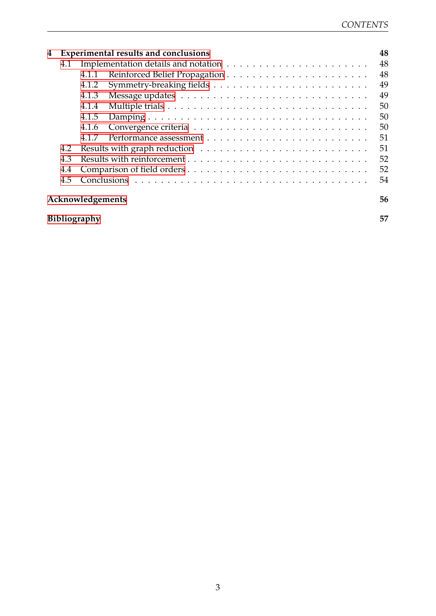| 4                      |     |       | <b>Experimental results and conclusions</b> | 48 |  |  |  |  |
|------------------------|-----|-------|---------------------------------------------|----|--|--|--|--|
|                        | 4.1 |       |                                             | 48 |  |  |  |  |
|                        |     | 4.1.1 |                                             | 48 |  |  |  |  |
|                        |     | 4.1.2 |                                             | 49 |  |  |  |  |
|                        |     | 4.1.3 |                                             | 49 |  |  |  |  |
|                        |     | 4.1.4 |                                             | 50 |  |  |  |  |
|                        |     | 4.1.5 |                                             | 50 |  |  |  |  |
|                        |     | 4.1.6 |                                             | 50 |  |  |  |  |
|                        |     | 4.1.7 |                                             | 51 |  |  |  |  |
|                        | 4.2 |       |                                             | 51 |  |  |  |  |
|                        | 4.3 |       |                                             | 52 |  |  |  |  |
|                        | 4.4 |       |                                             | 52 |  |  |  |  |
|                        | 4.5 |       |                                             | 54 |  |  |  |  |
| Acknowledgements<br>56 |     |       |                                             |    |  |  |  |  |
| 57<br>Bibliography     |     |       |                                             |    |  |  |  |  |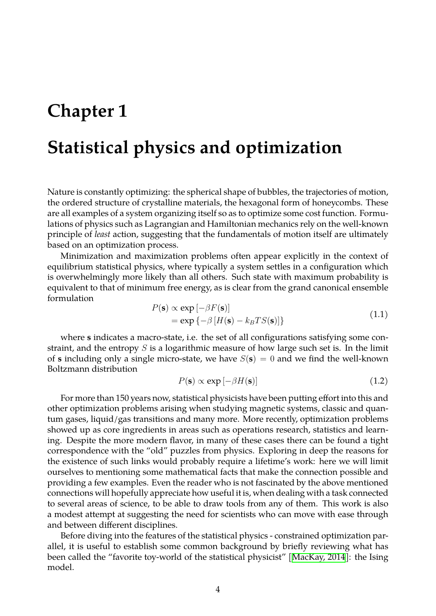## <span id="page-4-0"></span>**Chapter 1**

## **Statistical physics and optimization**

Nature is constantly optimizing: the spherical shape of bubbles, the trajectories of motion, the ordered structure of crystalline materials, the hexagonal form of honeycombs. These are all examples of a system organizing itself so as to optimize some cost function. Formulations of physics such as Lagrangian and Hamiltonian mechanics rely on the well-known principle of *least* action, suggesting that the fundamentals of motion itself are ultimately based on an optimization process.

Minimization and maximization problems often appear explicitly in the context of equilibrium statistical physics, where typically a system settles in a configuration which is overwhelmingly more likely than all others. Such state with maximum probability is equivalent to that of minimum free energy, as is clear from the grand canonical ensemble formulation

$$
P(\mathbf{s}) \propto \exp\left[-\beta F(\mathbf{s})\right] = \exp\left\{-\beta \left[H(\mathbf{s}) - k_B T S(\mathbf{s})\right]\right\}
$$
(1.1)

where **s** indicates a macro-state, i.e. the set of all configurations satisfying some constraint, and the entropy *S* is a logarithmic measure of how large such set is. In the limit of **s** including only a single micro-state, we have  $S(\mathbf{s}) = 0$  and we find the well-known Boltzmann distribution

$$
P(\mathbf{s}) \propto \exp\left[-\beta H(\mathbf{s})\right] \tag{1.2}
$$

For more than 150 years now, statistical physicists have been putting effort into this and other optimization problems arising when studying magnetic systems, classic and quantum gases, liquid/gas transitions and many more. More recently, optimization problems showed up as core ingredients in areas such as operations research, statistics and learning. Despite the more modern flavor, in many of these cases there can be found a tight correspondence with the "old" puzzles from physics. Exploring in deep the reasons for the existence of such links would probably require a lifetime's work: here we will limit ourselves to mentioning some mathematical facts that make the connection possible and providing a few examples. Even the reader who is not fascinated by the above mentioned connections will hopefully appreciate how useful it is, when dealing with a task connected to several areas of science, to be able to draw tools from any of them. This work is also a modest attempt at suggesting the need for scientists who can move with ease through and between different disciplines.

Before diving into the features of the statistical physics - constrained optimization parallel, it is useful to establish some common background by briefly reviewing what has been called the "favorite toy-world of the statistical physicist" [\[MacKay, 2014](#page-58-0)]: the Ising model.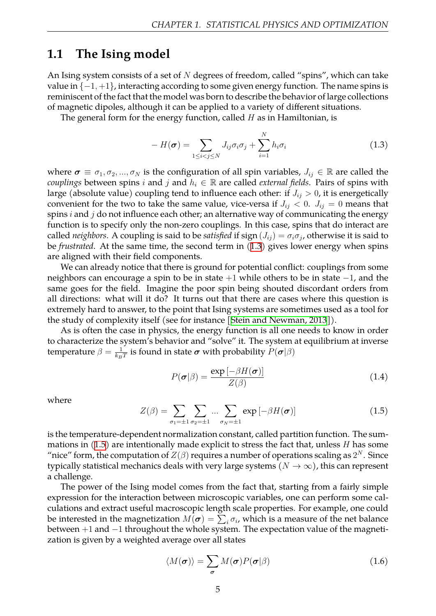### <span id="page-5-0"></span>**1.1 The Ising model**

An Ising system consists of a set of *N* degrees of freedom, called "spins", which can take value in *{−*1*,* +1*}*, interacting according to some given energy function. The name spins is reminiscent of the fact that the model was born to describe the behavior of large collections of magnetic dipoles, although it can be applied to a variety of different situations.

The general form for the energy function, called *H* as in Hamiltonian, is

<span id="page-5-1"></span>
$$
-H(\boldsymbol{\sigma}) = \sum_{1 \leq i < j \leq N} J_{ij} \sigma_i \sigma_j + \sum_{i=1}^N h_i \sigma_i \tag{1.3}
$$

where  $\sigma \equiv \sigma_1, \sigma_2, ..., \sigma_N$  is the configuration of all spin variables,  $J_{ij} \in \mathbb{R}$  are called the *couplings* between spins *i* and *j* and  $h_i \in \mathbb{R}$  are called *external fields*. Pairs of spins with large (absolute value) coupling tend to influence each other: if  $J_{ij} > 0$ , it is energetically convenient for the two to take the same value, vice-versa if  $J_{ij} < 0$ .  $J_{ij} = 0$  means that spins *i* and *j* do not influence each other; an alternative way of communicating the energy function is to specify only the non-zero couplings. In this case, spins that do interact are called *neighbors*. A coupling is said to be satisfied if sign  $(J_{ij}) = \sigma_i \sigma_j$ , otherwise it is said to be *frustrated*. At the same time, the second term in [\(1.3](#page-5-1)) gives lower energy when spins are aligned with their field components.

We can already notice that there is ground for potential conflict: couplings from some neighbors can encourage a spin to be in state +1 while others to be in state *−*1, and the same goes for the field. Imagine the poor spin being shouted discordant orders from all directions: what will it do? It turns out that there are cases where this question is extremely hard to answer, to the point that Ising systems are sometimes used as a tool for the study of complexity itself (see for instance [\[Stein and Newman, 2013](#page-58-1)]).

As is often the case in physics, the energy function is all one needs to know in order to characterize the system's behavior and "solve" it. The system at equilibrium at inverse temperature  $\beta = \frac{1}{k_B}$  $\frac{1}{k_B T}$  is found in state  $\bm{\sigma}$  with probability  $P(\bm{\sigma} | \beta)$ 

<span id="page-5-3"></span>
$$
P(\boldsymbol{\sigma}|\beta) = \frac{\exp\left[-\beta H(\boldsymbol{\sigma})\right]}{Z(\beta)}
$$
(1.4)

where

<span id="page-5-2"></span>
$$
Z(\beta) = \sum_{\sigma_1 = \pm 1} \sum_{\sigma_2 = \pm 1} \dots \sum_{\sigma_N = \pm 1} \exp\left[-\beta H(\boldsymbol{\sigma})\right]
$$
(1.5)

is the temperature-dependent normalization constant, called partition function. The summations in [\(1.5](#page-5-2)) are intentionally made explicit to stress the fact that, unless *H* has some "nice" form, the computation of  $Z(\beta)$  requires a number of operations scaling as  $2^N$ . Since typically statistical mechanics deals with very large systems ( $N \to \infty$ ), this can represent a challenge.

The power of the Ising model comes from the fact that, starting from a fairly simple expression for the interaction between microscopic variables, one can perform some calculations and extract useful macroscopic length scale properties. For example, one could be interested in the magnetization  $M(\bm{\sigma}) = \sum_i \sigma_i$ , which is a measure of the net balance between +1 and *−*1 throughout the whole system. The expectation value of the magnetization is given by a weighted average over all states

$$
\langle M(\boldsymbol{\sigma}) \rangle = \sum_{\boldsymbol{\sigma}} M(\boldsymbol{\sigma}) P(\boldsymbol{\sigma} | \beta)
$$
 (1.6)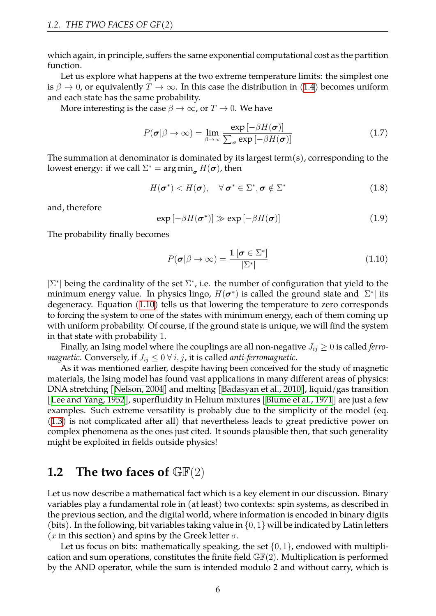which again, in principle, suffers the same exponential computational cost as the partition function.

Let us explore what happens at the two extreme temperature limits: the simplest one is $\beta \to 0$ , or equivalently  $T \to \infty$ . In this case the distribution in ([1.4\)](#page-5-3) becomes uniform and each state has the same probability.

More interesting is the case  $\beta \to \infty$ , or  $T \to 0$ . We have

$$
P(\boldsymbol{\sigma}|\beta \to \infty) = \lim_{\beta \to \infty} \frac{\exp\left[-\beta H(\boldsymbol{\sigma})\right]}{\sum_{\boldsymbol{\sigma}} \exp\left[-\beta H(\boldsymbol{\sigma})\right]}
$$
(1.7)

The summation at denominator is dominated by its largest term(s), corresponding to the lowest energy: if we call  $\Sigma^* = \argmin_{\sigma} H(\sigma)$ , then

$$
H(\boldsymbol{\sigma}^*) < H(\boldsymbol{\sigma}), \quad \forall \, \boldsymbol{\sigma}^* \in \Sigma^*, \boldsymbol{\sigma} \notin \Sigma^* \tag{1.8}
$$

and, therefore

$$
\exp\left[-\beta H(\boldsymbol{\sigma}^*)\right] \gg \exp\left[-\beta H(\boldsymbol{\sigma})\right] \tag{1.9}
$$

The probability finally becomes

<span id="page-6-1"></span>
$$
P(\boldsymbol{\sigma}|\beta \to \infty) = \frac{\mathbb{1} \left[ \boldsymbol{\sigma} \in \Sigma^* \right]}{|\Sigma^*|} \tag{1.10}
$$

*|*Σ *∗ |* being the cardinality of the set Σ *∗* , i.e. the number of configuration that yield to the minimum energy value. In physics lingo,  $H(\sigma^*)$  is called the ground state and  $|\Sigma^*|$  its degeneracy. Equation([1.10\)](#page-6-1) tells us that lowering the temperature to zero corresponds to forcing the system to one of the states with minimum energy, each of them coming up with uniform probability. Of course, if the ground state is unique, we will find the system in that state with probability 1.

Finally, an Ising model where the couplings are all non-negative  $J_{ij} \geq 0$  is called *ferromagnetic.* Conversely, if  $J_{ij} \leq 0 \forall i, j$ , it is called *anti-ferromagnetic*.

As it was mentioned earlier, despite having been conceived for the study of magnetic materials, the Ising model has found vast applications in many different areas of physics: DNA stretching[[Nelson, 2004](#page-58-2)] and melting[[Badasyan et al., 2010](#page-57-1)], liquid/gas transition [[Lee and Yang, 1952](#page-58-3)], superfluidity in Helium mixtures [\[Blume et al., 1971](#page-57-2)] are just a few examples. Such extreme versatility is probably due to the simplicity of the model (eq. [\(1.3](#page-5-1)) is not complicated after all) that nevertheless leads to great predictive power on complex phenomena as the ones just cited. It sounds plausible then, that such generality might be exploited in fields outside physics!

## <span id="page-6-0"></span>**1.2 The two faces of** GF(2)

Let us now describe a mathematical fact which is a key element in our discussion. Binary variables play a fundamental role in (at least) two contexts: spin systems, as described in the previous section, and the digital world, where information is encoded in binary digits (bits). In the following, bit variables taking value in *{*0*,* 1*}* will be indicated by Latin letters (*x* in this section) and spins by the Greek letter *σ*.

Let us focus on bits: mathematically speaking, the set *{*0*,* 1*}*, endowed with multiplication and sum operations, constitutes the finite field  $\mathbb{GF}(2)$ . Multiplication is performed by the AND operator, while the sum is intended modulo 2 and without carry, which is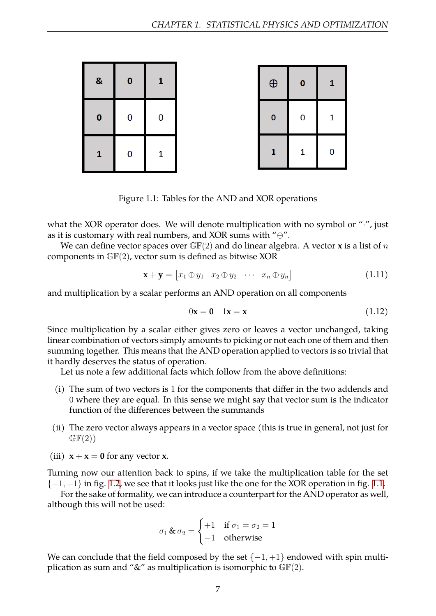<span id="page-7-0"></span>

| & | 0 | 1 |
|---|---|---|
| 0 | 0 | 0 |
| 1 | 0 | 1 |

| $\bigoplus$  | 0 | 1 |
|--------------|---|---|
| 0            | 0 | 1 |
| $\mathbf{1}$ | 1 | 0 |

Figure 1.1: Tables for the AND and XOR operations

what the XOR operator does. We will denote multiplication with no symbol or "*·*", just as it is customary with real numbers, and XOR sums with "*⊕*".

We can define vector spaces over GF(2) and do linear algebra. A vector **x** is a list of *n* components in  $\mathbb{GF}(2)$ , vector sum is defined as bitwise XOR

$$
\mathbf{x} + \mathbf{y} = \begin{bmatrix} x_1 \oplus y_1 & x_2 \oplus y_2 & \cdots & x_n \oplus y_n \end{bmatrix}
$$
 (1.11)

and multiplication by a scalar performs an AND operation on all components

$$
0\mathbf{x} = \mathbf{0} \quad 1\mathbf{x} = \mathbf{x} \tag{1.12}
$$

Since multiplication by a scalar either gives zero or leaves a vector unchanged, taking linear combination of vectors simply amounts to picking or not each one of them and then summing together. This means that the AND operation applied to vectors is so trivial that it hardly deserves the status of operation.

Let us note a few additional facts which follow from the above definitions:

- (i) The sum of two vectors is 1 for the components that differ in the two addends and 0 where they are equal. In this sense we might say that vector sum is the indicator function of the differences between the summands
- (ii) The zero vector always appears in a vector space (this is true in general, not just for  $GF(2)$
- (iii)  $x + x = 0$  for any vector **x**.

Turning now our attention back to spins, if we take the multiplication table for the set *{−*1*,* +1*}* in fig. [1.2,](#page-8-1) we see that it looks just like the one for the XOR operation in fig. [1.1.](#page-7-0)

For the sake of formality, we can introduce a counterpart for the AND operator as well, although this will not be used:

$$
\sigma_1 \& \sigma_2 = \begin{cases} +1 & \text{if } \sigma_1 = \sigma_2 = 1 \\ -1 & \text{otherwise} \end{cases}
$$

We can conclude that the field composed by the set *{−*1*,* +1*}* endowed with spin multiplication as sum and " $\&$ " as multiplication is isomorphic to  $\mathbb{GF}(2)$ .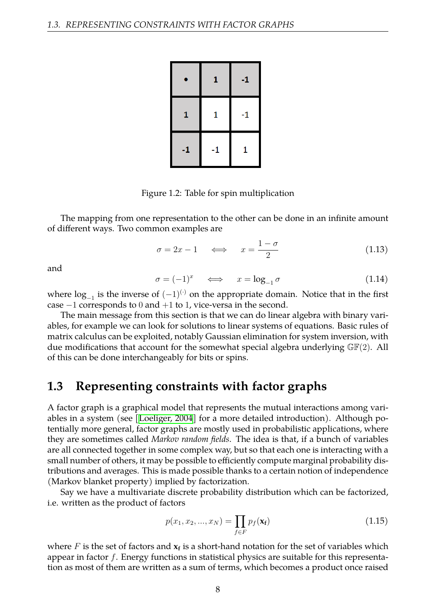<span id="page-8-1"></span>

|      | 1    | $-1$ |
|------|------|------|
| 1    | 1    | -1   |
| $-1$ | $-1$ | 1    |

Figure 1.2: Table for spin multiplication

The mapping from one representation to the other can be done in an infinite amount of different ways. Two common examples are

$$
\sigma = 2x - 1 \quad \Longleftrightarrow \quad x = \frac{1 - \sigma}{2} \tag{1.13}
$$

and

<span id="page-8-2"></span>
$$
\sigma = (-1)^x \quad \iff \quad x = \log_{-1} \sigma \tag{1.14}
$$

where log*−*<sup>1</sup> is the inverse of (*−*1)(*·*) on the appropriate domain. Notice that in the first case *−*1 corresponds to 0 and +1 to 1, vice-versa in the second.

The main message from this section is that we can do linear algebra with binary variables, for example we can look for solutions to linear systems of equations. Basic rules of matrix calculus can be exploited, notably Gaussian elimination for system inversion, with due modifications that account for the somewhat special algebra underlying  $\mathbb{GF}(2)$ . All of this can be done interchangeably for bits or spins.

### <span id="page-8-0"></span>**1.3 Representing constraints with factor graphs**

A factor graph is a graphical model that represents the mutual interactions among variables in a system (see[[Loeliger, 2004](#page-58-4)] for a more detailed introduction). Although potentially more general, factor graphs are mostly used in probabilistic applications, where they are sometimes called *Markov random fields*. The idea is that, if a bunch of variables are all connected together in some complex way, but so that each one is interacting with a small number of others, it may be possible to efficiently compute marginal probability distributions and averages. This is made possible thanks to a certain notion of independence (Markov blanket property) implied by factorization.

Say we have a multivariate discrete probability distribution which can be factorized, i.e. written as the product of factors

$$
p(x_1, x_2, ..., x_N) = \prod_{f \in F} p_f(\mathbf{x_f})
$$
\n(1.15)

where  $F$  is the set of factors and  $\mathbf{x_f}$  is a short-hand notation for the set of variables which appear in factor *f*. Energy functions in statistical physics are suitable for this representation as most of them are written as a sum of terms, which becomes a product once raised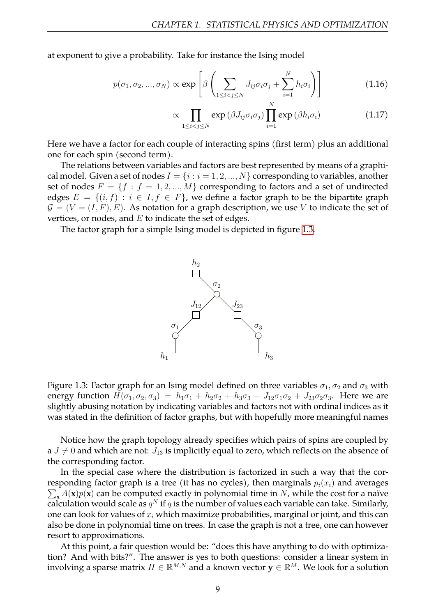at exponent to give a probability. Take for instance the Ising model

$$
p(\sigma_1, \sigma_2, ..., \sigma_N) \propto \exp\left[\beta \left(\sum_{1 \le i < j \le N} J_{ij}\sigma_i\sigma_j + \sum_{i=1}^N h_i\sigma_i\right)\right]
$$
\n(1.16)

$$
\propto \prod_{1 \leq i < j \leq N} \exp \left( \beta J_{ij} \sigma_i \sigma_j \right) \prod_{i=1}^N \exp \left( \beta h_i \sigma_i \right) \tag{1.17}
$$

Here we have a factor for each couple of interacting spins (first term) plus an additional one for each spin (second term).

The relations between variables and factors are best represented by means of a graphical model. Given a set of nodes  $I = \{i : i = 1, 2, ..., N\}$  corresponding to variables, another set of nodes  $F = \{f : f = 1, 2, ..., M\}$  corresponding to factors and a set of undirected edges  $E = \{(i, f) : i \in I, f \in F\}$ , we define a factor graph to be the bipartite graph  $G = (V = (I, F), E)$ . As notation for a graph description, we use V to indicate the set of vertices, or nodes, and *E* to indicate the set of edges.

<span id="page-9-0"></span>The factor graph for a simple Ising model is depicted in figure [1.3](#page-9-0).



Figure 1.3: Factor graph for an Ising model defined on three variables  $\sigma_1, \sigma_2$  and  $\sigma_3$  with energy function  $H(\sigma_1, \sigma_2, \sigma_3) = h_1\sigma_1 + h_2\sigma_2 + h_3\sigma_3 + J_{12}\sigma_1\sigma_2 + J_{23}\sigma_2\sigma_3$ . Here we are slightly abusing notation by indicating variables and factors not with ordinal indices as it was stated in the definition of factor graphs, but with hopefully more meaningful names

Notice how the graph topology already specifies which pairs of spins are coupled by a  $J \neq 0$  and which are not:  $J_{13}$  is implicitly equal to zero, which reflects on the absence of the corresponding factor.

In the special case where the distribution is factorized in such a way that the cor- $\sum_{\mathbf{x}} A(\mathbf{x}) p(\mathbf{x})$  can be computed exactly in polynomial time in *N*, while the cost for a naïve responding factor graph is a tree (it has no cycles), then marginals  $p_i(x_i)$  and averages calculation would scale as  $q^N$  if  $q$  is the number of values each variable can take. Similarly, one can look for values of *x<sup>i</sup>* which maximize probabilities, marginal or joint, and this can also be done in polynomial time on trees. In case the graph is not a tree, one can however resort to approximations.

At this point, a fair question would be: "does this have anything to do with optimization? And with bits?". The answer is yes to both questions: consider a linear system in involving a sparse matrix  $H \in \mathbb{R}^{M,N}$  and a known vector  $\mathbf{y} \in \mathbb{R}^M.$  We look for a solution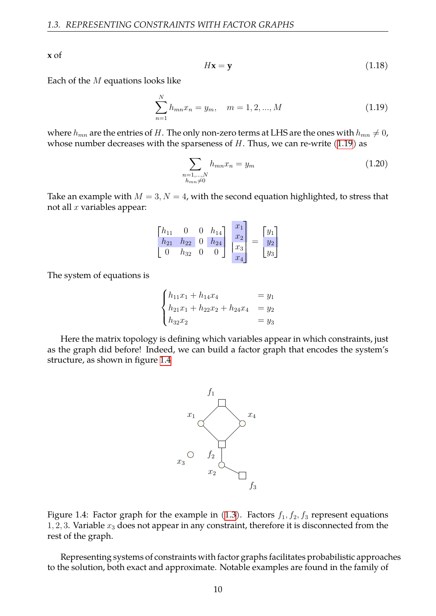**x** of

$$
H\mathbf{x} = \mathbf{y} \tag{1.18}
$$

Each of the *M* equations looks like

<span id="page-10-0"></span>
$$
\sum_{n=1}^{N} h_{mn} x_n = y_m, \quad m = 1, 2, ..., M
$$
\n(1.19)

where  $h_{mn}$  are the entries of *H*. The only non-zero terms at LHS are the ones with  $h_{mn} \neq 0$ , whose number decreases with the sparseness of *H*. Thus, we can re-write([1.19\)](#page-10-0) as

<span id="page-10-2"></span>
$$
\sum_{\substack{n=1,\dots,N\\h_{mn}\neq 0}} h_{mn} x_n = y_m \tag{1.20}
$$

Take an example with  $M = 3, N = 4$ , with the second equation highlighted, to stress that not all *x* variables appear:

$$
\begin{bmatrix} h_{11} & 0 & 0 & h_{14} \\ h_{21} & h_{22} & 0 & h_{24} \\ 0 & h_{32} & 0 & 0 \end{bmatrix} \begin{bmatrix} x_1 \\ x_2 \\ x_3 \\ x_4 \end{bmatrix} = \begin{bmatrix} y_1 \\ y_2 \\ y_3 \end{bmatrix}
$$

The system of equations is

$$
\begin{cases}\nh_{11}x_1 + h_{14}x_4 &= y_1 \\
h_{21}x_1 + h_{22}x_2 + h_{24}x_4 &= y_2 \\
h_{32}x_2 &= y_3\n\end{cases}
$$

<span id="page-10-1"></span>Here the matrix topology is defining which variables appear in which constraints, just as the graph did before! Indeed, we can build a factor graph that encodes the system's structure, as shown in figure [1.4](#page-10-1)



Figure 1.4: Factor graph for the example in  $(1.3)$ . Factors  $f_1, f_2, f_3$  represent equations 1*,* 2*,* 3. Variable *x*<sup>3</sup> does not appear in any constraint, therefore it is disconnected from the rest of the graph.

Representing systems of constraints with factor graphs facilitates probabilistic approaches to the solution, both exact and approximate. Notable examples are found in the family of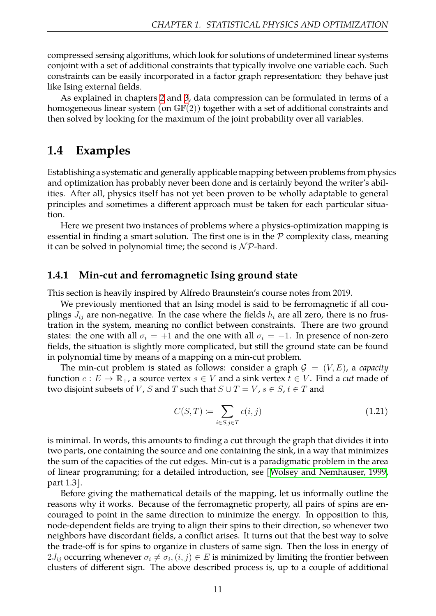compressed sensing algorithms, which look for solutions of undetermined linear systems conjoint with a set of additional constraints that typically involve one variable each. Such constraints can be easily incorporated in a factor graph representation: they behave just like Ising external fields.

As explained in chapters [2](#page-17-0) and [3,](#page-28-0) data compression can be formulated in terms of a homogeneous linear system (on  $\mathbb{GF}(2)$ ) together with a set of additional constraints and then solved by looking for the maximum of the joint probability over all variables.

## <span id="page-11-0"></span>**1.4 Examples**

Establishing a systematic and generally applicable mapping between problems from physics and optimization has probably never been done and is certainly beyond the writer's abilities. After all, physics itself has not yet been proven to be wholly adaptable to general principles and sometimes a different approach must be taken for each particular situation.

Here we present two instances of problems where a physics-optimization mapping is essential in finding a smart solution. The first one is in the *P* complexity class, meaning it can be solved in polynomial time; the second is  $N \mathcal{P}$ -hard.

#### <span id="page-11-1"></span>**1.4.1 Min-cut and ferromagnetic Ising ground state**

This section is heavily inspired by Alfredo Braunstein's course notes from 2019.

We previously mentioned that an Ising model is said to be ferromagnetic if all couplings  $J_{ij}$  are non-negative. In the case where the fields  $h_i$  are all zero, there is no frustration in the system, meaning no conflict between constraints. There are two ground states: the one with all  $\sigma_i = +1$  and the one with all  $\sigma_i = -1$ . In presence of non-zero fields, the situation is slightly more complicated, but still the ground state can be found in polynomial time by means of a mapping on a min-cut problem.

The min-cut problem is stated as follows: consider a graph  $G = (V, E)$ , a *capacity* function  $c: E \to \mathbb{R}_+$ , a source vertex  $s \in V$  and a sink vertex  $t \in V$ . Find a *cut* made of two disjoint subsets of *V*, *S* and *T* such that  $S \cup T = V$ ,  $s \in S$ ,  $t \in T$  and

$$
C(S,T) := \sum_{i \in S, j \in T} c(i,j) \tag{1.21}
$$

is minimal. In words, this amounts to finding a cut through the graph that divides it into two parts, one containing the source and one containing the sink, in a way that minimizes the sum of the capacities of the cut edges. Min-cut is a paradigmatic problem in the area of linear programming; for a detailed introduction, see [\[Wolsey and Nemhauser, 1999](#page-58-5), part 1.3].

Before giving the mathematical details of the mapping, let us informally outline the reasons why it works. Because of the ferromagnetic property, all pairs of spins are encouraged to point in the same direction to minimize the energy. In opposition to this, node-dependent fields are trying to align their spins to their direction, so whenever two neighbors have discordant fields, a conflict arises. It turns out that the best way to solve the trade-off is for spins to organize in clusters of same sign. Then the loss in energy of  $2J_{ij}$  occurring whenever  $\sigma_i \neq \sigma_i, (i,j) \in E$  is minimized by limiting the frontier between clusters of different sign. The above described process is, up to a couple of additional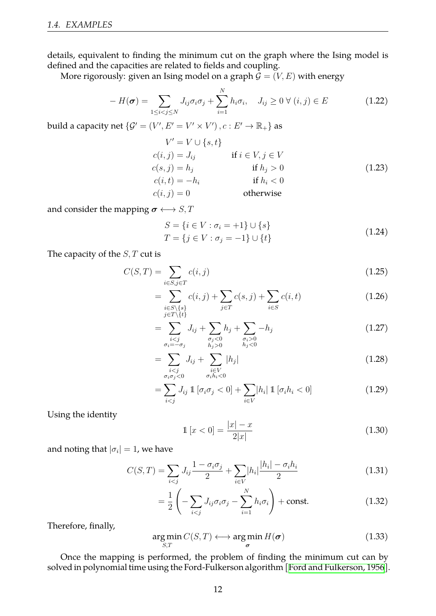details, equivalent to finding the minimum cut on the graph where the Ising model is defined and the capacities are related to fields and coupling.

More rigorously: given an Ising model on a graph  $\mathcal{G} = (V, E)$  with energy

$$
-H(\boldsymbol{\sigma}) = \sum_{1 \leq i < j \leq N} J_{ij} \sigma_i \sigma_j + \sum_{i=1}^N h_i \sigma_i, \quad J_{ij} \geq 0 \ \forall \ (i, j) \in E \tag{1.22}
$$

build a capacity net  $\{\mathcal{G}'=(V',E'=V'\times V')\,,c:E'\to\mathbb{R}_+\}$  as

$$
V' = V \cup \{s, t\}
$$
  
\n
$$
c(i, j) = J_{ij}
$$
 if  $i \in V, j \in V$   
\n
$$
c(s, j) = h_j
$$
 if  $h_j > 0$   
\n
$$
c(i, t) = -h_i
$$
 if  $h_i < 0$   
\n
$$
c(i, j) = 0
$$
 otherwise (1.23)

and consider the mapping  $\sigma \longleftrightarrow S, T$ 

$$
S = \{i \in V : \sigma_i = +1\} \cup \{s\}
$$
  

$$
T = \{j \in V : \sigma_j = -1\} \cup \{t\}
$$
 (1.24)

The capacity of the *S, T* cut is

$$
C(S,T) = \sum_{i \in S, j \in T} c(i,j) \tag{1.25}
$$

$$
= \sum_{\substack{i \in S \setminus \{s\} \\ j \in T \setminus \{t\}}} c(i,j) + \sum_{j \in T} c(s,j) + \sum_{i \in S} c(i,t) \tag{1.26}
$$

$$
= \sum_{\substack{i < j \\ \sigma_i = -\sigma_j}} J_{ij} + \sum_{\substack{\sigma_j < 0 \\ h_j > 0}} h_j + \sum_{\substack{\sigma_i > 0 \\ h_j < 0}} -h_j \tag{1.27}
$$

$$
= \sum_{\substack{i\n(1.28)
$$

$$
= \sum_{i < j} J_{ij} \mathbb{1} \left[ \sigma_i \sigma_j < 0 \right] + \sum_{i \in V} |h_i| \mathbb{1} \left[ \sigma_i h_i < 0 \right] \tag{1.29}
$$

Using the identity

$$
\mathbb{1}\left[x < 0\right] = \frac{|x| - x}{2|x|} \tag{1.30}
$$

and noting that  $|\sigma_i|=1$ , we have

$$
C(S,T) = \sum_{i < j} J_{ij} \frac{1 - \sigma_i \sigma_j}{2} + \sum_{i \in V} |h_i| \frac{|h_i| - \sigma_i h_i}{2} \tag{1.31}
$$

$$
= \frac{1}{2} \left( -\sum_{i < j} J_{ij} \sigma_i \sigma_j - \sum_{i=1}^N h_i \sigma_i \right) + \text{const.} \tag{1.32}
$$

Therefore, finally,

$$
\underset{S,T}{\arg\min} C(S,T) \longleftrightarrow \underset{\sigma}{\arg\min} H(\sigma) \tag{1.33}
$$

Once the mapping is performed, the problem of finding the minimum cut can by solved in polynomial time using the Ford-Fulkerson algorithm [\[Ford and Fulkerson, 1956\]](#page-57-3).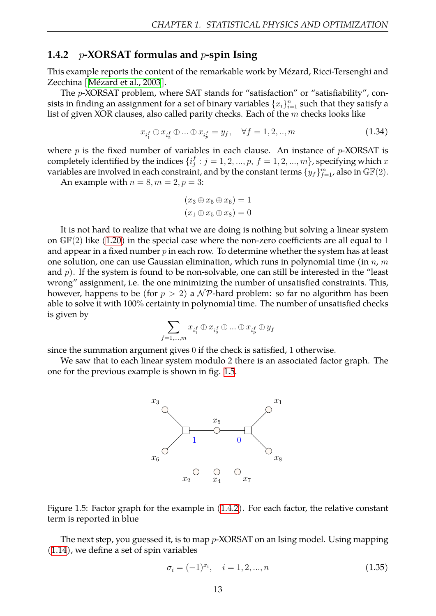#### <span id="page-13-0"></span>**1.4.2** *p***-XORSAT formulas and** *p***-spin Ising**

This example reports the content of the remarkable work by Mézard, Ricci-Tersenghi and Zecchina[[Mézard et al., 2003](#page-58-6)].

The *p*-XORSAT problem, where SAT stands for "satisfaction" or "satisfiability", consists in finding an assignment for a set of binary variables  $\{x_i\}_{i=1}^n$  such that they satisfy a list of given XOR clauses, also called parity checks. Each of the *m* checks looks like

<span id="page-13-2"></span>
$$
x_{i_1^f} \oplus x_{i_2^f} \oplus \dots \oplus x_{i_p^f} = y_f, \quad \forall f = 1, 2, ..., m
$$
 (1.34)

where *p* is the fixed number of variables in each clause. An instance of *p*-XORSAT is completely identified by the indices  $\{i_j^t\}$  $j_j^f : j = 1,2,...,p, \, f = 1,2,...,m\}$  , specifying which  $x$ variables are involved in each constraint, and by the constant terms  $\{y_f\}_{f=1}^m$ , also in  $\mathbb{GF}(2).$ 

An example with  $n = 8, m = 2, p = 3$ :

$$
(x_3 \oplus x_5 \oplus x_6) = 1
$$
  

$$
(x_1 \oplus x_5 \oplus x_8) = 0
$$

It is not hard to realize that what we are doing is nothing but solving a linear system on $\mathbb{GF}(2)$  like ([1.20](#page-10-2)) in the special case where the non-zero coefficients are all equal to 1 and appear in a fixed number *p* in each row. To determine whether the system has at least one solution, one can use Gaussian elimination, which runs in polynomial time (in *n*, *m* and *p*). If the system is found to be non-solvable, one can still be interested in the "least wrong" assignment, i.e. the one minimizing the number of unsatisfied constraints. This, however, happens to be (for *p >* 2) a *N P*-hard problem: so far no algorithm has been able to solve it with 100% certainty in polynomial time. The number of unsatisfied checks is given by

$$
\sum_{f=1,...,m} x_{i_1^f} \oplus x_{i_2^f} \oplus ... \oplus x_{i_p^f} \oplus y_f
$$

since the summation argument gives 0 if the check is satisfied, 1 otherwise.

<span id="page-13-1"></span>We saw that to each linear system modulo 2 there is an associated factor graph. The one for the previous example is shown in fig. [1.5.](#page-13-1)





The next step, you guessed it, is to map *p*-XORSAT on an Ising model. Using mapping [\(1.14](#page-8-2)), we define a set of spin variables

$$
\sigma_i = (-1)^{x_i}, \quad i = 1, 2, ..., n \tag{1.35}
$$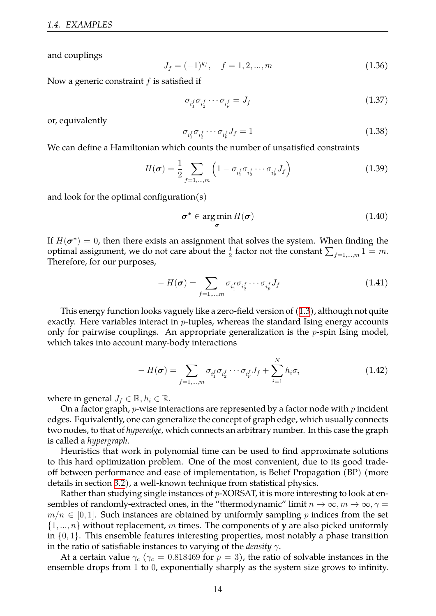and couplings

$$
J_f = (-1)^{y_f}, \quad f = 1, 2, ..., m \tag{1.36}
$$

Now a generic constraint *f* is satisfied if

$$
\sigma_{i_1^f} \sigma_{i_2^f} \cdots \sigma_{i_p^f} = J_f \tag{1.37}
$$

or, equivalently

$$
\sigma_{i_1^f} \sigma_{i_2^f} \cdots \sigma_{i_p^f} J_f = 1 \tag{1.38}
$$

We can define a Hamiltonian which counts the number of unsatisfied constraints

$$
H(\boldsymbol{\sigma}) = \frac{1}{2} \sum_{f=1,\dots,m} \left( 1 - \sigma_{i_1^f} \sigma_{i_2^f} \cdots \sigma_{i_p^f} J_f \right) \tag{1.39}
$$

and look for the optimal configuration $(s)$ 

$$
\boldsymbol{\sigma}^* \in \argmin_{\boldsymbol{\sigma}} H(\boldsymbol{\sigma})
$$
 (1.40)

If  $H(\bm{\sigma^*}) = 0$ , then there exists an assignment that solves the system. When finding the optimal assignment, we do not care about the  $\frac{1}{2}$  factor not the constant  $\sum_{f=1,...,m} 1 = m$ . Therefore, for our purposes,

$$
-H(\boldsymbol{\sigma}) = \sum_{f=1,\dots,m} \sigma_{i_1^f} \sigma_{i_2^f} \cdots \sigma_{i_p^f} J_f \qquad (1.41)
$$

This energy function looks vaguely like a zero-field version of [\(1.3](#page-5-1)), although not quite exactly. Here variables interact in *p*-tuples, whereas the standard Ising energy accounts only for pairwise couplings. An appropriate generalization is the *p*-spin Ising model, which takes into account many-body interactions

$$
-H(\boldsymbol{\sigma}) = \sum_{f=1,\dots,m} \sigma_{i_1^f} \sigma_{i_2^f} \cdots \sigma_{i_p^f} J_f + \sum_{i=1}^N h_i \sigma_i
$$
 (1.42)

where in general  $J_f \in \mathbb{R}, h_i \in \mathbb{R}$ .

On a factor graph, *p*-wise interactions are represented by a factor node with *p* incident edges. Equivalently, one can generalize the concept of graph edge, which usually connects two nodes, to that of *hyperedge*, which connects an arbitrary number. In this case the graph is called a *hypergraph*.

Heuristics that work in polynomial time can be used to find approximate solutions to this hard optimization problem. One of the most convenient, due to its good tradeoff between performance and ease of implementation, is Belief Propagation (BP) (more details in section [3.2\)](#page-33-0), a well-known technique from statistical physics.

Rather than studying single instances of *p*-XORSAT, it is more interesting to look at ensembles of randomly-extracted ones, in the "thermodynamic" limit  $n \to \infty$ ,  $m \to \infty$ ,  $\gamma$  =  $m/n \in [0, 1]$ . Such instances are obtained by uniformly sampling *p* indices from the set *{*1*, ..., n}* without replacement, *m* times. The components of **y** are also picked uniformly in *{*0*,* 1*}*. This ensemble features interesting properties, most notably a phase transition in the ratio of satisfiable instances to varying of the *density γ*.

At a certain value  $\gamma_c$  ( $\gamma_c$  = 0.818469 for  $p = 3$ ), the ratio of solvable instances in the ensemble drops from 1 to 0, exponentially sharply as the system size grows to infinity.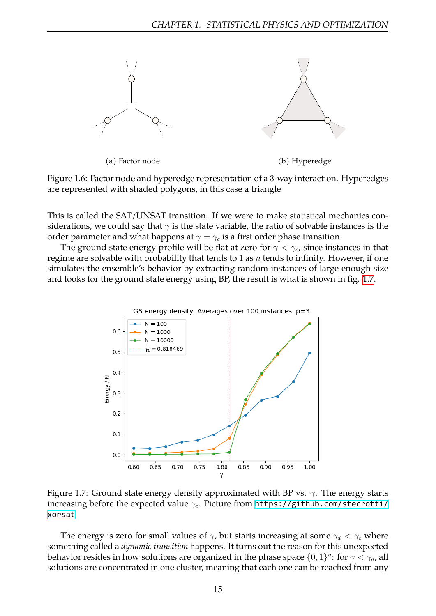

Figure 1.6: Factor node and hyperedge representation of a 3-way interaction. Hyperedges are represented with shaded polygons, in this case a triangle

This is called the SAT/UNSAT transition. If we were to make statistical mechanics considerations, we could say that  $\gamma$  is the state variable, the ratio of solvable instances is the order parameter and what happens at  $\gamma = \gamma_c$  is a first order phase transition.

The ground state energy profile will be flat at zero for  $\gamma < \gamma_c$ , since instances in that regime are solvable with probability that tends to 1 as *n* tends to infinity. However, if one simulates the ensemble's behavior by extracting random instances of large enough size and looks for the ground state energy using BP, the result is what is shown in fig. [1.7](#page-15-0).

<span id="page-15-0"></span>

Figure 1.7: Ground state energy density approximated with BP vs. *γ*. The energy starts increasing before the expected value *γc*. Picture from [https://github.com/stecrotti/](https://github.com/stecrotti/xorsat) [xorsat](https://github.com/stecrotti/xorsat)

The energy is zero for small values of  $\gamma$ , but starts increasing at some  $\gamma_d < \gamma_c$  where something called a *dynamic transition* happens. It turns out the reason for this unexpected behavior resides in how solutions are organized in the phase space  $\{0,1\}^n$ : for  $\gamma < \gamma_d$ , all solutions are concentrated in one cluster, meaning that each one can be reached from any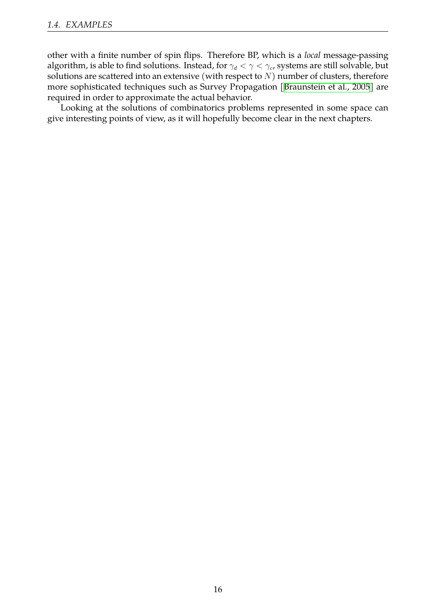other with a finite number of spin flips. Therefore BP, which is a *local* message-passing algorithm, is able to find solutions. Instead, for *γ<sup>d</sup> < γ < γc*, systems are still solvable, but solutions are scattered into an extensive (with respect to *N*) number of clusters, therefore more sophisticated techniques such as Survey Propagation[[Braunstein et al., 2005](#page-57-4)] are required in order to approximate the actual behavior.

Looking at the solutions of combinatorics problems represented in some space can give interesting points of view, as it will hopefully become clear in the next chapters.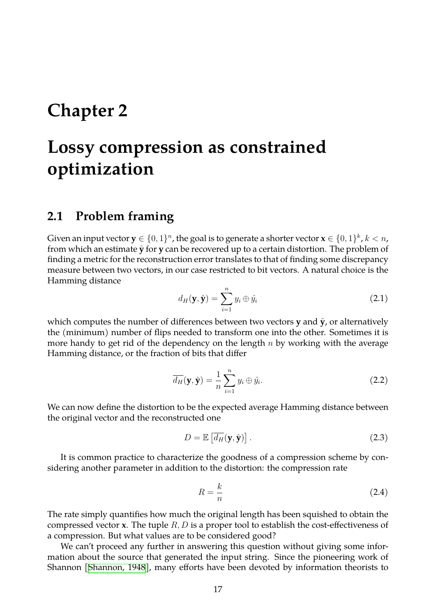## <span id="page-17-0"></span>**Chapter 2**

# **Lossy compression as constrained optimization**

### <span id="page-17-1"></span>**2.1 Problem framing**

Given an input vector  $\mathbf{y} \in \{0,1\}^n$ , the goal is to generate a shorter vector  $\mathbf{x} \in \{0,1\}^k$ ,  $k < n$ , from which an estimate **y**ˆ for **y** can be recovered up to a certain distortion. The problem of finding a metric for the reconstruction error translates to that of finding some discrepancy measure between two vectors, in our case restricted to bit vectors. A natural choice is the Hamming distance

<span id="page-17-2"></span>
$$
d_H(\mathbf{y}, \hat{\mathbf{y}}) = \sum_{i=1}^n y_i \oplus \hat{y}_i
$$
\n(2.1)

which computes the number of differences between two vectors **y** and  $\hat{y}$ , or alternatively the (minimum) number of flips needed to transform one into the other. Sometimes it is more handy to get rid of the dependency on the length *n* by working with the average Hamming distance, or the fraction of bits that differ

$$
\overline{d_H}(\mathbf{y}, \hat{\mathbf{y}}) = \frac{1}{n} \sum_{i=1}^n y_i \oplus \hat{y}_i.
$$
 (2.2)

We can now define the distortion to be the expected average Hamming distance between the original vector and the reconstructed one

$$
D = \mathbb{E}\left[\overline{d_H}(\mathbf{y}, \hat{\mathbf{y}})\right].
$$
 (2.3)

It is common practice to characterize the goodness of a compression scheme by considering another parameter in addition to the distortion: the compression rate

$$
R = \frac{k}{n} \tag{2.4}
$$

The rate simply quantifies how much the original length has been squished to obtain the compressed vector **x**. The tuple *R, D* is a proper tool to establish the cost-effectiveness of a compression. But what values are to be considered good?

We can't proceed any further in answering this question without giving some information about the source that generated the input string. Since the pioneering work of Shannon[[Shannon, 1948\]](#page-58-7), many efforts have been devoted by information theorists to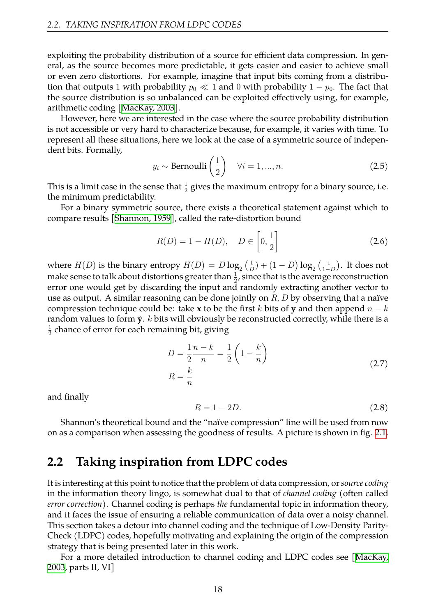exploiting the probability distribution of a source for efficient data compression. In general, as the source becomes more predictable, it gets easier and easier to achieve small or even zero distortions. For example, imagine that input bits coming from a distribution that outputs 1 with probability  $p_0 \ll 1$  and 0 with probability  $1 - p_0$ . The fact that the source distribution is so unbalanced can be exploited effectively using, for example, arithmetic coding [\[MacKay, 2003](#page-58-8)].

However, here we are interested in the case where the source probability distribution is not accessible or very hard to characterize because, for example, it varies with time. To represent all these situations, here we look at the case of a symmetric source of independent bits. Formally,

$$
y_i \sim \text{Bernoulli}\left(\frac{1}{2}\right) \quad \forall i = 1, ..., n. \tag{2.5}
$$

This is a limit case in the sense that  $\frac{1}{2}$  gives the maximum entropy for a binary source, i.e. the minimum predictability.

For a binary symmetric source, there exists a theoretical statement against which to compare results[[Shannon, 1959](#page-58-9)], called the rate-distortion bound

$$
R(D) = 1 - H(D), \quad D \in \left[0, \frac{1}{2}\right]
$$
 (2.6)

where  $H(D)$  is the binary entropy  $H(D) = D \log_2 \left( \frac{1}{L} \right)$  $\frac{1}{D}$ ) + (1 *− D*) log<sub>2</sub> ( $\frac{1}{1-}$ 1*−D* . It does not make sense to talk about distortions greater than  $\frac{1}{2}$ , since that is the average reconstruction error one would get by discarding the input and randomly extracting another vector to use as output. A similar reasoning can be done jointly on *R, D* by observing that a naïve compression technique could be: take **x** to be the first *k* bits of **y** and then append  $n - k$ random values to form  $\hat{y}$ . *k* bits will obviously be reconstructed correctly, while there is a 1  $\frac{1}{2}$  chance of error for each remaining bit, giving

$$
D = \frac{1}{2} \frac{n-k}{n} = \frac{1}{2} \left( 1 - \frac{k}{n} \right)
$$
  

$$
R = \frac{k}{n}
$$
 (2.7)

and finally

$$
R = 1 - 2D.\tag{2.8}
$$

Shannon's theoretical bound and the "naïve compression" line will be used from now on as a comparison when assessing the goodness of results. A picture is shown in fig. [2.1](#page-19-1).

## <span id="page-18-0"></span>**2.2 Taking inspiration from LDPC codes**

It is interesting at this point to notice that the problem of data compression, or*source coding* in the information theory lingo, is somewhat dual to that of *channel coding* (often called *error correction*). Channel coding is perhaps *the* fundamental topic in information theory, and it faces the issue of ensuring a reliable communication of data over a noisy channel. This section takes a detour into channel coding and the technique of Low-Density Parity-Check (LDPC) codes, hopefully motivating and explaining the origin of the compression strategy that is being presented later in this work.

For a more detailed introduction to channel coding and LDPC codes see [\[MacKay,](#page-58-8) [2003,](#page-58-8) parts II, VI]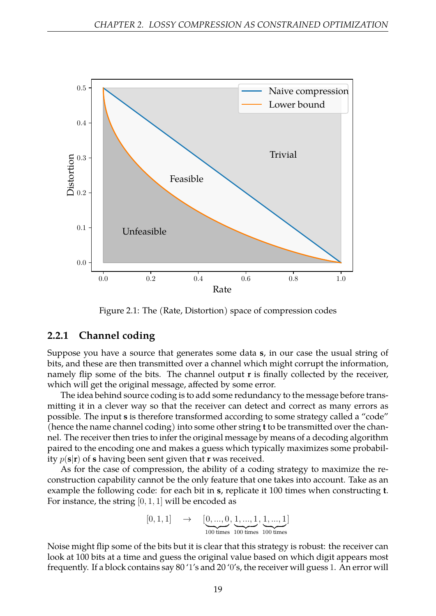<span id="page-19-1"></span>

Figure 2.1: The (Rate, Distortion) space of compression codes

#### <span id="page-19-0"></span>**2.2.1 Channel coding**

Suppose you have a source that generates some data **s**, in our case the usual string of bits, and these are then transmitted over a channel which might corrupt the information, namely flip some of the bits. The channel output **r** is finally collected by the receiver, which will get the original message, affected by some error.

The idea behind source coding is to add some redundancy to the message before transmitting it in a clever way so that the receiver can detect and correct as many errors as possible. The input **s** is therefore transformed according to some strategy called a "code" (hence the name channel coding) into some other string **t** to be transmitted over the channel. The receiver then tries to infer the original message by means of a decoding algorithm paired to the encoding one and makes a guess which typically maximizes some probability  $p(\mathbf{s}|\mathbf{r})$  of **s** having been sent given that **r** was received.

As for the case of compression, the ability of a coding strategy to maximize the reconstruction capability cannot be the only feature that one takes into account. Take as an example the following code: for each bit in **s**, replicate it 100 times when constructing **t**. For instance, the string [0*,* 1*,* 1] will be encoded as

$$
[0, 1, 1] \rightarrow [\underbrace{0, ..., 0}_{100 \text{ times}}, \underbrace{1, ..., 1}_{100 \text{ times}}, \underbrace{1, ..., 1}_{100 \text{ times}}]
$$

Noise might flip some of the bits but it is clear that this strategy is robust: the receiver can look at 100 bits at a time and guess the original value based on which digit appears most frequently. If a block contains say 80 '1's and 20 '0's, the receiver will guess 1. An error will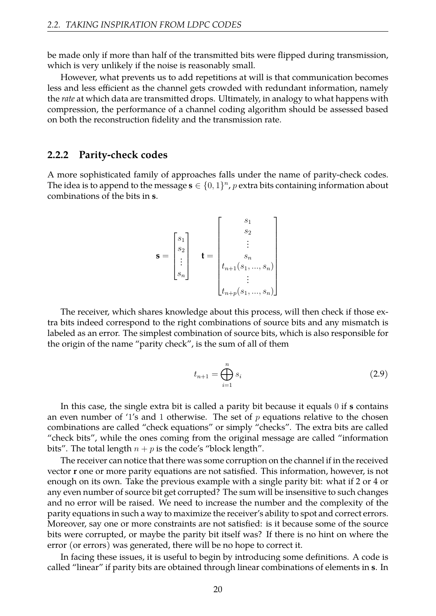be made only if more than half of the transmitted bits were flipped during transmission, which is very unlikely if the noise is reasonably small.

However, what prevents us to add repetitions at will is that communication becomes less and less efficient as the channel gets crowded with redundant information, namely the *rate* at which data are transmitted drops. Ultimately, in analogy to what happens with compression, the performance of a channel coding algorithm should be assessed based on both the reconstruction fidelity and the transmission rate.

#### <span id="page-20-0"></span>**2.2.2 Parity-check codes**

A more sophisticated family of approaches falls under the name of parity-check codes. The idea is to append to the message  $\mathbf{s} \in \{0,1\}^n$ , p extra bits containing information about combinations of the bits in **s**.

$$
\mathbf{s} = \begin{bmatrix} s_1 \\ s_2 \\ \vdots \\ s_n \end{bmatrix} \quad \mathbf{t} = \begin{bmatrix} s_1 \\ s_2 \\ \vdots \\ s_n \\ t_{n+1}(s_1, \dots, s_n) \\ \vdots \\ t_{n+p}(s_1, \dots, s_n) \end{bmatrix}
$$

The receiver, which shares knowledge about this process, will then check if those extra bits indeed correspond to the right combinations of source bits and any mismatch is labeled as an error. The simplest combination of source bits, which is also responsible for the origin of the name "parity check", is the sum of all of them

$$
t_{n+1} = \bigoplus_{i=1}^{n} s_i
$$
 (2.9)

In this case, the single extra bit is called a parity bit because it equals 0 if **s** contains an even number of '1's and 1 otherwise. The set of *p* equations relative to the chosen combinations are called "check equations" or simply "checks". The extra bits are called "check bits", while the ones coming from the original message are called "information bits". The total length  $n + p$  is the code's "block length".

The receiver can notice that there was some corruption on the channel if in the received vector **r** one or more parity equations are not satisfied. This information, however, is not enough on its own. Take the previous example with a single parity bit: what if 2 or 4 or any even number of source bit get corrupted? The sum will be insensitive to such changes and no error will be raised. We need to increase the number and the complexity of the parity equations in such a way to maximize the receiver's ability to spot and correct errors. Moreover, say one or more constraints are not satisfied: is it because some of the source bits were corrupted, or maybe the parity bit itself was? If there is no hint on where the error (or errors) was generated, there will be no hope to correct it.

In facing these issues, it is useful to begin by introducing some definitions. A code is called "linear" if parity bits are obtained through linear combinations of elements in **s**. In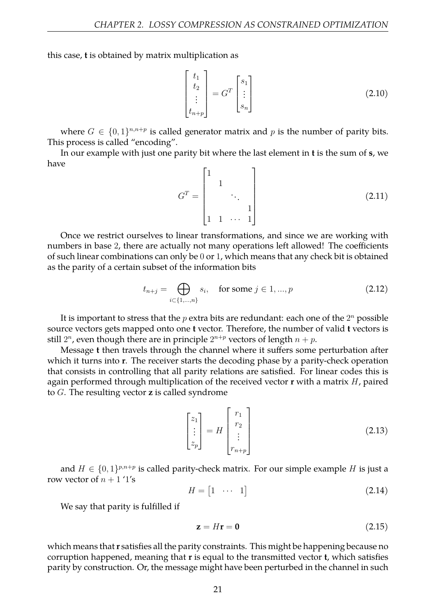this case, **t** is obtained by matrix multiplication as

$$
\begin{bmatrix} t_1 \\ t_2 \\ \vdots \\ t_{n+p} \end{bmatrix} = G^T \begin{bmatrix} s_1 \\ \vdots \\ s_n \end{bmatrix}
$$
 (2.10)

where  $G \in \{0,1\}^{n,n+p}$  is called generator matrix and p is the number of parity bits. This process is called "encoding".

In our example with just one parity bit where the last element in **t** is the sum of **s**, we have

$$
G^{T} = \begin{bmatrix} 1 & & & \\ & 1 & & \\ & & \ddots & \\ & & & 1 \\ 1 & 1 & \cdots & 1 \end{bmatrix}
$$
 (2.11)

Once we restrict ourselves to linear transformations, and since we are working with numbers in base 2, there are actually not many operations left allowed! The coefficients of such linear combinations can only be 0 or 1, which means that any check bit is obtained as the parity of a certain subset of the information bits

$$
t_{n+j} = \bigoplus_{i \in \{1, \dots, n\}} s_i, \quad \text{for some } j \in 1, \dots, p \tag{2.12}
$$

It is important to stress that the  $p$  extra bits are redundant: each one of the  $2^n$  possible source vectors gets mapped onto one **t** vector. Therefore, the number of valid **t** vectors is still  $2^n$ , even though there are in principle  $2^{n+p}$  vectors of length  $n+p$ .

Message **t** then travels through the channel where it suffers some perturbation after which it turns into **r**. The receiver starts the decoding phase by a parity-check operation that consists in controlling that all parity relations are satisfied. For linear codes this is again performed through multiplication of the received vector **r** with a matrix *H*, paired to *G*. The resulting vector **z** is called syndrome

$$
\begin{bmatrix} z_1 \\ \vdots \\ z_p \end{bmatrix} = H \begin{bmatrix} r_1 \\ r_2 \\ \vdots \\ r_{n+p} \end{bmatrix}
$$
 (2.13)

and  $H \in \{0,1\}^{p,n+p}$  is called parity-check matrix. For our simple example *H* is just a row vector of  $n + 1$  '1's

$$
H = \begin{bmatrix} 1 & \cdots & 1 \end{bmatrix} \tag{2.14}
$$

We say that parity is fulfilled if

$$
z = Hr = 0 \tag{2.15}
$$

which means that**r** satisfies all the parity constraints. This might be happening because no corruption happened, meaning that **r** is equal to the transmitted vector **t**, which satisfies parity by construction. Or, the message might have been perturbed in the channel in such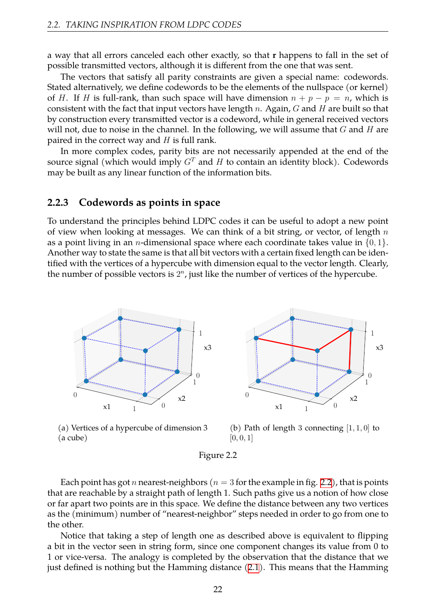a way that all errors canceled each other exactly, so that **r** happens to fall in the set of possible transmitted vectors, although it is different from the one that was sent.

The vectors that satisfy all parity constraints are given a special name: codewords. Stated alternatively, we define codewords to be the elements of the nullspace (or kernel) of *H*. If *H* is full-rank, than such space will have dimension  $n + p - p = n$ , which is consistent with the fact that input vectors have length *n*. Again, *G* and *H* are built so that by construction every transmitted vector is a codeword, while in general received vectors will not, due to noise in the channel. In the following, we will assume that *G* and *H* are paired in the correct way and *H* is full rank.

In more complex codes, parity bits are not necessarily appended at the end of the source signal (which would imply  $G<sup>T</sup>$  and  $H$  to contain an identity block). Codewords may be built as any linear function of the information bits.

#### <span id="page-22-0"></span>**2.2.3 Codewords as points in space**

To understand the principles behind LDPC codes it can be useful to adopt a new point of view when looking at messages. We can think of a bit string, or vector, of length *n* as a point living in an *n*-dimensional space where each coordinate takes value in *{*0*,* 1*}*. Another way to state the same is that all bit vectors with a certain fixed length can be identified with the vertices of a hypercube with dimension equal to the vector length. Clearly, the number of possible vectors is  $2<sup>n</sup>$ , just like the number of vertices of the hypercube.

<span id="page-22-1"></span>![](_page_22_Figure_6.jpeg)

 $x<sub>1</sub>$ 0 1  $x<sub>2</sub>$  $\Omega$ 1 x3  $\Omega$ 1

(a) Vertices of a hypercube of dimension 3 (a cube)

(b) Path of length 3 connecting  $[1, 1, 0]$  to  $[0, 0, 1]$ 

![](_page_22_Figure_10.jpeg)

Each point has got *n* nearest-neighbors ( $n = 3$  for the example in fig. [2.2\)](#page-22-1), that is points that are reachable by a straight path of length 1. Such paths give us a notion of how close or far apart two points are in this space. We define the distance between any two vertices as the (minimum) number of "nearest-neighbor" steps needed in order to go from one to the other.

Notice that taking a step of length one as described above is equivalent to flipping a bit in the vector seen in string form, since one component changes its value from 0 to 1 or vice-versa. The analogy is completed by the observation that the distance that we just defined is nothing but the Hamming distance([2.1\)](#page-17-2). This means that the Hamming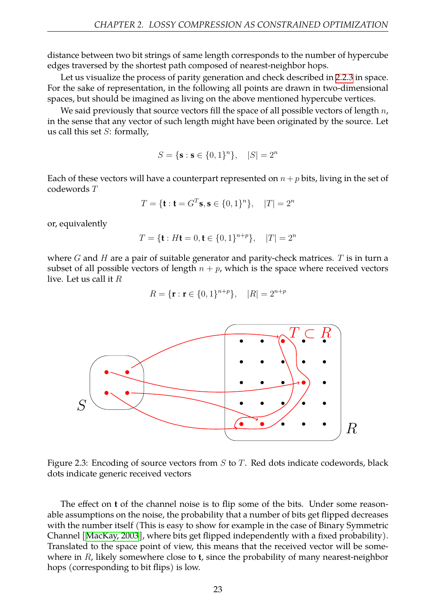distance between two bit strings of same length corresponds to the number of hypercube edges traversed by the shortest path composed of nearest-neighbor hops.

Let us visualize the process of parity generation and check described in [2.2.3](#page-22-0) in space. For the sake of representation, in the following all points are drawn in two-dimensional spaces, but should be imagined as living on the above mentioned hypercube vertices.

We said previously that source vectors fill the space of all possible vectors of length *n*, in the sense that any vector of such length might have been originated by the source. Let us call this set *S*: formally,

$$
S = \{ \mathbf{s} : \mathbf{s} \in \{0, 1\}^n \}, \quad |S| = 2^n
$$

Each of these vectors will have a counterpart represented on  $n + p$  bits, living in the set of codewords *T*

$$
T = \{ \mathbf{t} : \mathbf{t} = G^T \mathbf{s}, \mathbf{s} \in \{0, 1\}^n \}, \quad |T| = 2^n
$$

or, equivalently

$$
T = \{ \mathbf{t} : H\mathbf{t} = 0, \mathbf{t} \in \{0, 1\}^{n+p} \}, \quad |T| = 2^n
$$

where *G* and *H* are a pair of suitable generator and parity-check matrices. *T* is in turn a subset of all possible vectors of length  $n + p$ , which is the space where received vectors live. Let us call it *R*

$$
R = \{\mathbf{r} : \mathbf{r} \in \{0, 1\}^{n+p}\}, \quad |R| = 2^{n+p}
$$

![](_page_23_Figure_11.jpeg)

Figure 2.3: Encoding of source vectors from *S* to *T*. Red dots indicate codewords, black dots indicate generic received vectors

The effect on **t** of the channel noise is to flip some of the bits. Under some reasonable assumptions on the noise, the probability that a number of bits get flipped decreases with the number itself (This is easy to show for example in the case of Binary Symmetric Channel [\[MacKay, 2003](#page-58-8)], where bits get flipped independently with a fixed probability). Translated to the space point of view, this means that the received vector will be somewhere in *R*, likely somewhere close to **t**, since the probability of many nearest-neighbor hops (corresponding to bit flips) is low.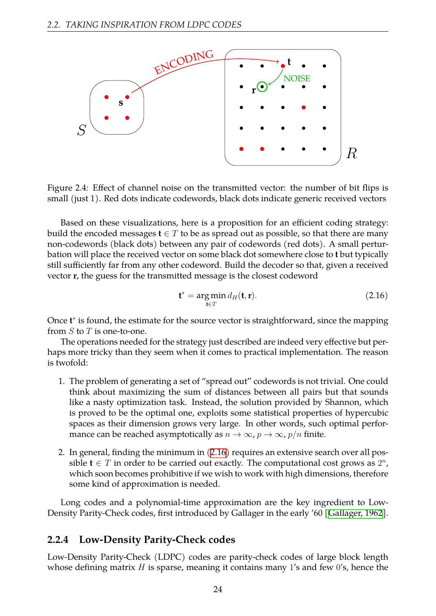![](_page_24_Figure_1.jpeg)

Figure 2.4: Effect of channel noise on the transmitted vector: the number of bit flips is small (just 1). Red dots indicate codewords, black dots indicate generic received vectors

Based on these visualizations, here is a proposition for an efficient coding strategy: build the encoded messages  $\mathbf{t} \in T$  to be as spread out as possible, so that there are many non-codewords (black dots) between any pair of codewords (red dots). A small perturbation will place the received vector on some black dot somewhere close to **t** but typically still sufficiently far from any other codeword. Build the decoder so that, given a received vector **r**, the guess for the transmitted message is the closest codeword

<span id="page-24-1"></span>
$$
\mathbf{t}^* = \underset{\mathbf{t} \in T}{\arg \min} d_H(\mathbf{t}, \mathbf{r}).
$$
 (2.16)

Once **t** *∗* is found, the estimate for the source vector is straightforward, since the mapping from *S* to *T* is one-to-one.

The operations needed for the strategy just described are indeed very effective but perhaps more tricky than they seem when it comes to practical implementation. The reason is twofold:

- 1. The problem of generating a set of "spread out" codewords is not trivial. One could think about maximizing the sum of distances between all pairs but that sounds like a nasty optimization task. Instead, the solution provided by Shannon, which is proved to be the optimal one, exploits some statistical properties of hypercubic spaces as their dimension grows very large. In other words, such optimal performance can be reached asymptotically as  $n \to \infty$ ,  $p \to \infty$ ,  $p/n$  finite.
- 2. In general, finding the minimum in([2.16](#page-24-1)) requires an extensive search over all possible  $\mathbf{t} \in T$  in order to be carried out exactly. The computational cost grows as  $2^n$ , which soon becomes prohibitive if we wish to work with high dimensions, therefore some kind of approximation is needed.

Long codes and a polynomial-time approximation are the key ingredient to Low-Density Parity-Check codes, first introduced by Gallager in the early '60[[Gallager, 1962](#page-57-5)].

#### <span id="page-24-0"></span>**2.2.4 Low-Density Parity-Check codes**

Low-Density Parity-Check (LDPC) codes are parity-check codes of large block length whose defining matrix *H* is sparse, meaning it contains many 1's and few 0's, hence the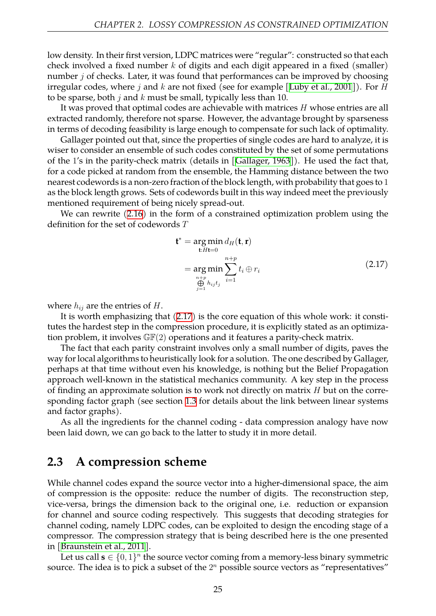low density. In their first version, LDPC matrices were "regular": constructed so that each check involved a fixed number *k* of digits and each digit appeared in a fixed (smaller) number *j* of checks. Later, it was found that performances can be improved by choosing irregular codes, where *j* and *k* are not fixed (see for example [\[Luby et al., 2001\]](#page-58-10)). For *H* to be sparse, both *j* and *k* must be small, typically less than 10.

It was proved that optimal codes are achievable with matrices *H* whose entries are all extracted randomly, therefore not sparse. However, the advantage brought by sparseness in terms of decoding feasibility is large enough to compensate for such lack of optimality.

Gallager pointed out that, since the properties of single codes are hard to analyze, it is wiser to consider an ensemble of such codes constituted by the set of some permutations of the 1's in the parity-check matrix (details in [\[Gallager, 1963](#page-57-6)]). He used the fact that, for a code picked at random from the ensemble, the Hamming distance between the two nearest codewords is a non-zero fraction of the block length, with probability that goes to 1 as the block length grows. Sets of codewords built in this way indeed meet the previously mentioned requirement of being nicely spread-out.

We can rewrite([2.16\)](#page-24-1) in the form of a constrained optimization problem using the definition for the set of codewords *T*

<span id="page-25-1"></span>
$$
\mathbf{t}^* = \underset{\mathbf{t}:H\mathbf{t}=0}{\arg \min} d_H(\mathbf{t}, \mathbf{r})
$$
  
= 
$$
\underset{\substack{n+p\\ \text{if } p\\ \text{if } h_{ij}t_j}}{\arg \min} \sum_{i=1}^{n+p} t_i \oplus r_i
$$
 (2.17)

where  $h_{ij}$  are the entries of  $H$ .

It is worth emphasizing that [\(2.17](#page-25-1)) is the core equation of this whole work: it constitutes the hardest step in the compression procedure, it is explicitly stated as an optimization problem, it involves  $\mathbb{GF}(2)$  operations and it features a parity-check matrix.

The fact that each parity constraint involves only a small number of digits, paves the way for local algorithms to heuristically look for a solution. The one described by Gallager, perhaps at that time without even his knowledge, is nothing but the Belief Propagation approach well-known in the statistical mechanics community. A key step in the process of finding an approximate solution is to work not directly on matrix *H* but on the corresponding factor graph (see section [1.3](#page-8-0) for details about the link between linear systems and factor graphs).

As all the ingredients for the channel coding - data compression analogy have now been laid down, we can go back to the latter to study it in more detail.

## <span id="page-25-0"></span>**2.3 A compression scheme**

While channel codes expand the source vector into a higher-dimensional space, the aim of compression is the opposite: reduce the number of digits. The reconstruction step, vice-versa, brings the dimension back to the original one, i.e. reduction or expansion for channel and source coding respectively. This suggests that decoding strategies for channel coding, namely LDPC codes, can be exploited to design the encoding stage of a compressor. The compression strategy that is being described here is the one presented in [\[Braunstein et al., 2011](#page-57-7)].

Let us call  $\mathbf{s} \in \{0,1\}^n$  the source vector coming from a memory-less binary symmetric source. The idea is to pick a subset of the  $2^n$  possible source vectors as "representatives"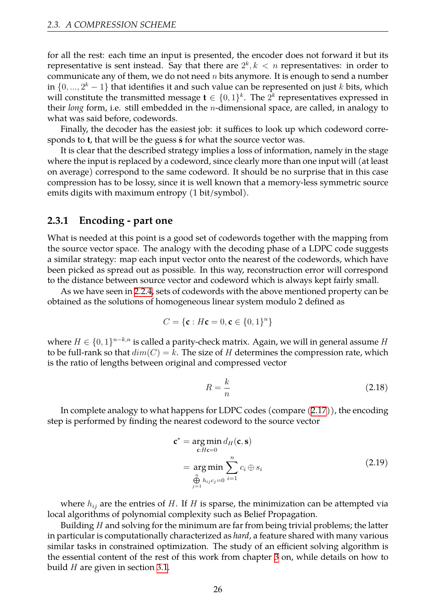for all the rest: each time an input is presented, the encoder does not forward it but its representative is sent instead. Say that there are  $2^k, k < n$  representatives: in order to communicate any of them, we do not need *n* bits anymore. It is enough to send a number in *{*0*, ...,* 2 *<sup>k</sup> −* 1*}* that identifies it and such value can be represented on just *k* bits, which will constitute the transmitted message  $\mathbf{t} \in \{0,1\}^k$ . The  $2^k$  representatives expressed in their *long* form, i.e. still embedded in the *n*-dimensional space, are called, in analogy to what was said before, codewords.

Finally, the decoder has the easiest job: it suffices to look up which codeword corresponds to **t**, that will be the guess  $\hat{\mathbf{s}}$  for what the source vector was.

It is clear that the described strategy implies a loss of information, namely in the stage where the input is replaced by a codeword, since clearly more than one input will (at least on average) correspond to the same codeword. It should be no surprise that in this case compression has to be lossy, since it is well known that a memory-less symmetric source emits digits with maximum entropy (1 bit/symbol).

#### <span id="page-26-0"></span>**2.3.1 Encoding - part one**

What is needed at this point is a good set of codewords together with the mapping from the source vector space. The analogy with the decoding phase of a LDPC code suggests a similar strategy: map each input vector onto the nearest of the codewords, which have been picked as spread out as possible. In this way, reconstruction error will correspond to the distance between source vector and codeword which is always kept fairly small.

As we have seen in [2.2.4](#page-24-0), sets of codewords with the above mentioned property can be obtained as the solutions of homogeneous linear system modulo 2 defined as

$$
C = \{ \mathbf{c} : H\mathbf{c} = 0, \mathbf{c} \in \{0, 1\}^n \}
$$

where *H ∈ {*0*,* 1*} <sup>n</sup>−k,n* is called a parity-check matrix. Again, we will in general assume *H* to be full-rank so that  $dim(C) = k$ . The size of *H* determines the compression rate, which is the ratio of lengths between original and compressed vector

$$
R = \frac{k}{n} \tag{2.18}
$$

In complete analogy to what happens for LDPC codes (compare([2.17\)](#page-25-1)), the encoding step is performed by finding the nearest codeword to the source vector

<span id="page-26-1"></span>
$$
\mathbf{c}^* = \underset{\mathbf{c}: H\mathbf{c}=0}{\arg \min} d_H(\mathbf{c}, \mathbf{s})
$$
  
= 
$$
\underset{\substack{n\\ \mathbf{c} \text{ in } h_{ij}c_j=0}}{\arg \min} \sum_{i=1}^n c_i \oplus s_i
$$
 (2.19)

where  $h_{ij}$  are the entries of *H*. If *H* is sparse, the minimization can be attempted via local algorithms of polynomial complexity such as Belief Propagation.

Building *H* and solving for the minimum are far from being trivial problems; the latter in particular is computationally characterized as *hard*, a feature shared with many various similar tasks in constrained optimization. The study of an efficient solving algorithm is the essential content of the rest of this work from chapter [3](#page-28-0) on, while details on how to build *H* are given in section [3.1](#page-28-1).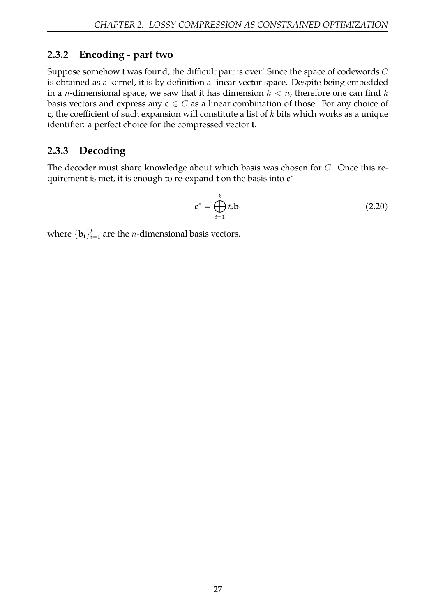## <span id="page-27-0"></span>**2.3.2 Encoding - part two**

Suppose somehow **t** was found, the difficult part is over! Since the space of codewords *C* is obtained as a kernel, it is by definition a linear vector space. Despite being embedded in a *n*-dimensional space, we saw that it has dimension *k < n*, therefore one can find *k* basis vectors and express any  $c \in C$  as a linear combination of those. For any choice of **c**, the coefficient of such expansion will constitute a list of *k* bits which works as a unique identifier: a perfect choice for the compressed vector **t**.

## <span id="page-27-1"></span>**2.3.3 Decoding**

The decoder must share knowledge about which basis was chosen for *C*. Once this requirement is met, it is enough to re-expand **t** on the basis into **c** *∗*

$$
\mathbf{c}^* = \bigoplus_{i=1}^k t_i \mathbf{b_i} \tag{2.20}
$$

where  $\{\mathbf{b_i}\}_{i=1}^k$  are the *n*-dimensional basis vectors.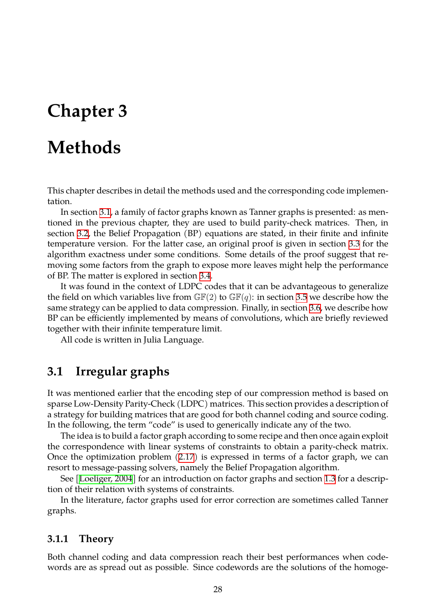## <span id="page-28-0"></span>**Chapter 3**

## **Methods**

This chapter describes in detail the methods used and the corresponding code implementation.

In section [3.1](#page-28-1), a family of factor graphs known as Tanner graphs is presented: as mentioned in the previous chapter, they are used to build parity-check matrices. Then, in section [3.2,](#page-33-0) the Belief Propagation (BP) equations are stated, in their finite and infinite temperature version. For the latter case, an original proof is given in section [3.3](#page-37-1) for the algorithm exactness under some conditions. Some details of the proof suggest that removing some factors from the graph to expose more leaves might help the performance of BP. The matter is explored in section [3.4.](#page-41-0)

It was found in the context of LDPC codes that it can be advantageous to generalize the field on which variables live from  $\mathbb{GF}(2)$  to  $\mathbb{GF}(q)$ : in section [3.5](#page-42-0) we describe how the same strategy can be applied to data compression. Finally, in section [3.6,](#page-43-0) we describe how BP can be efficiently implemented by means of convolutions, which are briefly reviewed together with their infinite temperature limit.

All code is written in Julia Language.

## <span id="page-28-1"></span>**3.1 Irregular graphs**

It was mentioned earlier that the encoding step of our compression method is based on sparse Low-Density Parity-Check (LDPC) matrices. This section provides a description of a strategy for building matrices that are good for both channel coding and source coding. In the following, the term "code" is used to generically indicate any of the two.

The idea is to build a factor graph according to some recipe and then once again exploit the correspondence with linear systems of constraints to obtain a parity-check matrix. Once the optimization problem [\(2.17](#page-25-1)) is expressed in terms of a factor graph, we can resort to message-passing solvers, namely the Belief Propagation algorithm.

See [\[Loeliger, 2004\]](#page-58-4) for an introduction on factor graphs and section [1.3](#page-8-0) for a description of their relation with systems of constraints.

In the literature, factor graphs used for error correction are sometimes called Tanner graphs.

#### <span id="page-28-2"></span>**3.1.1 Theory**

Both channel coding and data compression reach their best performances when codewords are as spread out as possible. Since codewords are the solutions of the homoge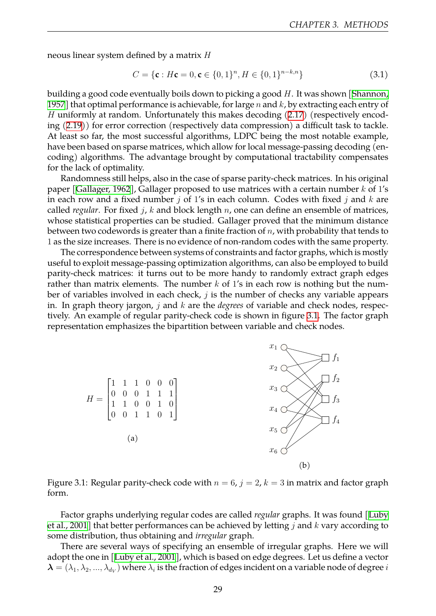neous linear system defined by a matrix *H*

$$
C = \{ \mathbf{c} : H\mathbf{c} = 0, \mathbf{c} \in \{0, 1\}^n, H \in \{0, 1\}^{n-k, n} \}
$$
(3.1)

building a good code eventually boils down to picking a good *H*. It was shown[[Shannon,](#page-58-11) [1957\]](#page-58-11) that optimal performance is achievable, for large *n* and *k*, by extracting each entry of *H* uniformly at random. Unfortunately this makes decoding [\(2.17](#page-25-1)) (respectively encoding([2.19\)](#page-26-1)) for error correction (respectively data compression) a difficult task to tackle. At least so far, the most successful algorithms, LDPC being the most notable example, have been based on sparse matrices, which allow for local message-passing decoding (encoding) algorithms. The advantage brought by computational tractability compensates for the lack of optimality.

Randomness still helps, also in the case of sparse parity-check matrices. In his original paper[[Gallager, 1962\]](#page-57-5), Gallager proposed to use matrices with a certain number *k* of 1's in each row and a fixed number *j* of 1's in each column. Codes with fixed *j* and *k* are called *regular*. For fixed *j*, *k* and block length *n*, one can define an ensemble of matrices, whose statistical properties can be studied. Gallager proved that the minimum distance between two codewords is greater than a finite fraction of *n*, with probability that tends to 1 as the size increases. There is no evidence of non-random codes with the same property.

The correspondence between systems of constraints and factor graphs, which is mostly useful to exploit message-passing optimization algorithms, can also be employed to build parity-check matrices: it turns out to be more handy to randomly extract graph edges rather than matrix elements. The number *k* of 1's in each row is nothing but the number of variables involved in each check, *j* is the number of checks any variable appears in. In graph theory jargon, *j* and *k* are the *degrees* of variable and check nodes, respectively. An example of regular parity-check code is shown in figure [3.1](#page-29-0). The factor graph representation emphasizes the bipartition between variable and check nodes.

<span id="page-29-0"></span>![](_page_29_Figure_6.jpeg)

Figure 3.1: Regular parity-check code with  $n = 6$ ,  $j = 2$ ,  $k = 3$  in matrix and factor graph form.

Factor graphs underlying regular codes are called *regular* graphs. It was found [\[Luby](#page-58-10) [et al., 2001](#page-58-10)] that better performances can be achieved by letting *j* and *k* vary according to some distribution, thus obtaining and *irregular* graph.

There are several ways of specifying an ensemble of irregular graphs. Here we will adopt the one in [\[Luby et al., 2001\]](#page-58-10), which is based on edge degrees. Let us define a vector  $\bm{\lambda}=(\lambda_1,\lambda_2,...,\lambda_{d_V})$  where  $\lambda_i$  is the fraction of edges incident on a variable node of degree  $i$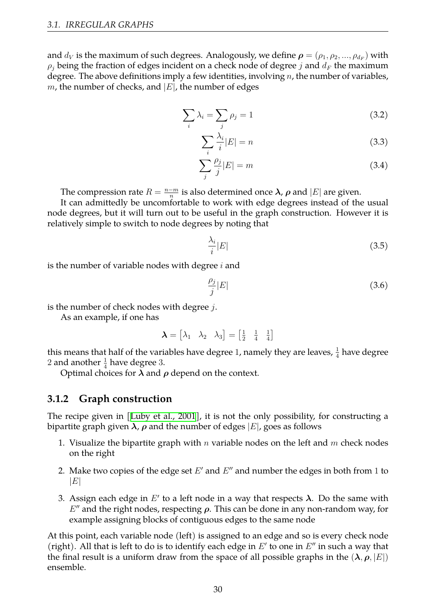and  $d_V$  is the maximum of such degrees. Analogously, we define  $\boldsymbol{\rho} = (\rho_1, \rho_2, ..., \rho_{d_F})$  with  $\rho_j$  being the fraction of edges incident on a check node of degree *j* and  $d_F$  the maximum degree. The above definitions imply a few identities, involving *n*, the number of variables, *m*, the number of checks, and *|E|*, the number of edges

$$
\sum_{i} \lambda_i = \sum_{j} \rho_j = 1 \tag{3.2}
$$

<span id="page-30-2"></span><span id="page-30-1"></span>
$$
\sum_{i} \frac{\lambda_i}{i} |E| = n \tag{3.3}
$$

<span id="page-30-3"></span>
$$
\sum_{j} \frac{\rho_j}{j} |E| = m \tag{3.4}
$$

The compression rate  $R = \frac{n-m}{n}$  $\frac{m}{n}$  is also determined once  $\bm{\lambda}$ ,  $\bm{\rho}$  and  $|E|$  are given.

It can admittedly be uncomfortable to work with edge degrees instead of the usual node degrees, but it will turn out to be useful in the graph construction. However it is relatively simple to switch to node degrees by noting that

$$
\frac{\lambda_i}{i}|E|\tag{3.5}
$$

is the number of variable nodes with degree *i* and

$$
\frac{\rho_j}{j}|E|\tag{3.6}
$$

is the number of check nodes with degree *j*.

As an example, if one has

$$
\boldsymbol{\lambda} = \begin{bmatrix} \lambda_1 & \lambda_2 & \lambda_3 \end{bmatrix} = \begin{bmatrix} \frac{1}{2} & \frac{1}{4} & \frac{1}{4} \end{bmatrix}
$$

this means that half of the variables have degree 1, namely they are leaves,  $\frac{1}{4}$  have degree 2 and another  $\frac{1}{4}$  have degree 3.

Optimal choices for *λ* and *ρ* depend on the context.

#### <span id="page-30-0"></span>**3.1.2 Graph construction**

The recipe given in [\[Luby et al., 2001](#page-58-10)], it is not the only possibility, for constructing a bipartite graph given *λ*, *ρ* and the number of edges *|E|*, goes as follows

- 1. Visualize the bipartite graph with *n* variable nodes on the left and *m* check nodes on the right
- 2. Make two copies of the edge set *E ′* and *E ′′* and number the edges in both from 1 to *|E|*
- 3. Assign each edge in *E ′* to a left node in a way that respects *λ*. Do the same with *E ′′* and the right nodes, respecting *ρ*. This can be done in any non-random way, for example assigning blocks of contiguous edges to the same node

At this point, each variable node (left) is assigned to an edge and so is every check node (right). All that is left to do is to identify each edge in *E ′* to one in *E ′′* in such a way that the final result is a uniform draw from the space of all possible graphs in the  $(\lambda, \rho, |E|)$ ensemble.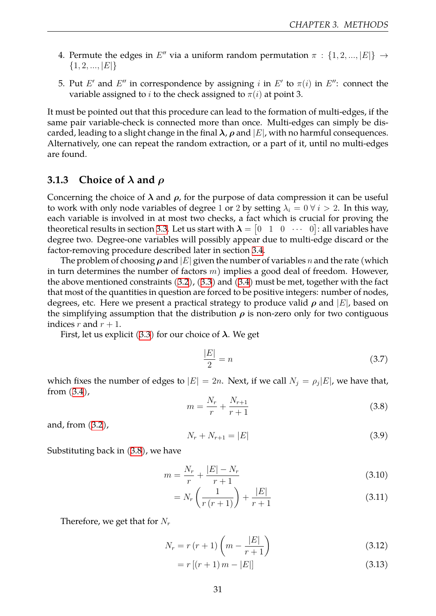- 4. Permute the edges in  $E''$  via a uniform random permutation  $\pi$  :  $\{1, 2, ..., |E|\}$   $\rightarrow$ *{*1*,* 2*, ..., |E|}*
- 5. Put  $E'$  and  $E''$  in correspondence by assigning *i* in  $E'$  to  $\pi(i)$  in  $E''$ : connect the variable assigned to *i* to the check assigned to  $\pi(i)$  at point 3.

It must be pointed out that this procedure can lead to the formation of multi-edges, if the same pair variable-check is connected more than once. Multi-edges can simply be discarded, leading to a slight change in the final  $\lambda$ ,  $\rho$  and  $|E|$ , with no harmful consequences. Alternatively, one can repeat the random extraction, or a part of it, until no multi-edges are found.

#### <span id="page-31-0"></span>**3.1.3 Choice of** *λ* **and** *ρ*

Concerning the choice of  $\lambda$  and  $\rho$ , for the purpose of data compression it can be useful to work with only node variables of degree 1 or 2 by setting  $\lambda_i = 0 \forall i > 2$ . In this way, each variable is involved in at most two checks, a fact which is crucial for proving the theoretical results in section [3.3](#page-37-1). Let us start with  $\boldsymbol{\lambda} = \begin{bmatrix} 0 & 1 & 0 & \cdots & 0 \end{bmatrix}$ : all variables have degree two. Degree-one variables will possibly appear due to multi-edge discard or the factor-removing procedure described later in section [3.4](#page-41-0).

The problem of choosing  $\rho$  and  $|E|$  given the number of variables *n* and the rate (which in turn determines the number of factors *m*) implies a good deal of freedom. However, the above mentioned constraints([3.2\)](#page-30-1), [\(3.3](#page-30-2)) and([3.4\)](#page-30-3) must be met, together with the fact that most of the quantities in question are forced to be positive integers: number of nodes, degrees, etc. Here we present a practical strategy to produce valid *ρ* and *|E|*, based on the simplifying assumption that the distribution  $\rho$  is non-zero only for two contiguous indices  $r$  and  $r + 1$ .

First, let us explicit [\(3.3](#page-30-2)) for our choice of *λ*. We get

$$
\frac{|E|}{2} = n \tag{3.7}
$$

which fixes the number of edges to  $|E| = 2n$ . Next, if we call  $N_j = \rho_j |E|$ , we have that, from [\(3.4\)](#page-30-3),

<span id="page-31-1"></span>
$$
m = \frac{N_r}{r} + \frac{N_{r+1}}{r+1}
$$
\n(3.8)

and, from [\(3.2](#page-30-1)),

$$
N_r + N_{r+1} = |E| \tag{3.9}
$$

Substituting back in([3.8](#page-31-1)), we have

$$
m = \frac{N_r}{r} + \frac{|E| - N_r}{r + 1} \tag{3.10}
$$

$$
= N_r \left( \frac{1}{r (r+1)} \right) + \frac{|E|}{r+1}
$$
 (3.11)

Therefore, we get that for *N<sup>r</sup>*

$$
N_r = r (r + 1) \left( m - \frac{|E|}{r + 1} \right)
$$
 (3.12)

 $= r [(r + 1) m - |E|]$  (3.13)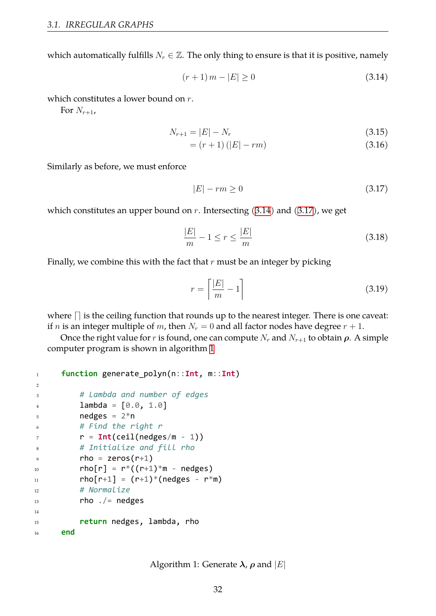which automatically fulfills  $N_r \in \mathbb{Z}$ . The only thing to ensure is that it is positive, namely

<span id="page-32-0"></span>
$$
(r+1) \, m - |E| \ge 0 \tag{3.14}
$$

which constitutes a lower bound on *r*.

For  $N_{r+1}$ ,

$$
N_{r+1} = |E| - N_r \tag{3.15}
$$

$$
= (r+1)\left(|E| - rm\right) \tag{3.16}
$$

Similarly as before, we must enforce

<span id="page-32-1"></span>
$$
|E| - rm \ge 0 \tag{3.17}
$$

which constitutes an upper bound on *r*. Intersecting([3.14\)](#page-32-0) and([3.17\)](#page-32-1), we get

$$
\frac{|E|}{m} - 1 \le r \le \frac{|E|}{m} \tag{3.18}
$$

Finally, we combine this with the fact that *r* must be an integer by picking

$$
r = \left\lceil \frac{|E|}{m} - 1 \right\rceil \tag{3.19}
$$

where  $\lceil$  is the ceiling function that rounds up to the nearest integer. There is one caveat: if *n* is an integer multiple of *m*, then  $N_r = 0$  and all factor nodes have degree  $r + 1$ .

<span id="page-32-2"></span>Once the right value for *r* is found, one can compute  $N_r$  and  $N_{r+1}$  to obtain  $\rho$ . A simple computer program is shown in algorithm [1](#page-32-2)

```
1 function generate_polyn(n::Int, m::Int)
\overline{2}3 # Lambda and number of edges
          lambda = [0.0, 1.0]5 nedges = 2 * n6 # Find the right r
\tau = \text{Int}(\text{ceil}(\text{nedges}/m - 1))8 # Initialize and fill rho
9 rho = zeros(r+1)
10 rho[r] = r^*((r+1)*m - nedges)11 \text{rho}[\text{r+1}] = (\text{r+1})^* (\text{nedges} - \text{r}^* \text{m})12 # Normalize
13 rho / nedges
14
15 return nedges, lambda, rho
16 end
```
Algorithm 1: Generate  $\lambda$ ,  $\rho$  and  $|E|$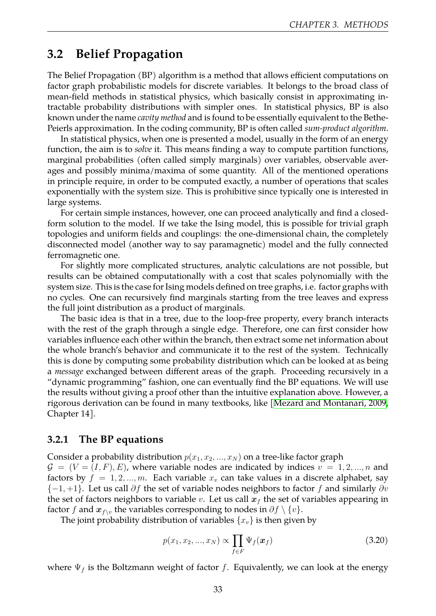## <span id="page-33-0"></span>**3.2 Belief Propagation**

The Belief Propagation (BP) algorithm is a method that allows efficient computations on factor graph probabilistic models for discrete variables. It belongs to the broad class of mean-field methods in statistical physics, which basically consist in approximating intractable probability distributions with simpler ones. In statistical physics, BP is also known under the name *cavity method* and is found to be essentially equivalent to the Bethe-Peierls approximation. In the coding community, BP is often called *sum-product algorithm*.

In statistical physics, when one is presented a model, usually in the form of an energy function, the aim is to *solve* it. This means finding a way to compute partition functions, marginal probabilities (often called simply marginals) over variables, observable averages and possibly minima/maxima of some quantity. All of the mentioned operations in principle require, in order to be computed exactly, a number of operations that scales exponentially with the system size. This is prohibitive since typically one is interested in large systems.

For certain simple instances, however, one can proceed analytically and find a closedform solution to the model. If we take the Ising model, this is possible for trivial graph topologies and uniform fields and couplings: the one-dimensional chain, the completely disconnected model (another way to say paramagnetic) model and the fully connected ferromagnetic one.

For slightly more complicated structures, analytic calculations are not possible, but results can be obtained computationally with a cost that scales polynomially with the system size. This is the case for Ising models defined on tree graphs, i.e. factor graphs with no cycles. One can recursively find marginals starting from the tree leaves and express the full joint distribution as a product of marginals.

The basic idea is that in a tree, due to the loop-free property, every branch interacts with the rest of the graph through a single edge. Therefore, one can first consider how variables influence each other within the branch, then extract some net information about the whole branch's behavior and communicate it to the rest of the system. Technically this is done by computing some probability distribution which can be looked at as being a *message* exchanged between different areas of the graph. Proceeding recursively in a "dynamic programming" fashion, one can eventually find the BP equations. We will use the results without giving a proof other than the intuitive explanation above. However, a rigorous derivation can be found in many textbooks, like [\[Mezard and Montanari, 2009](#page-58-12), Chapter 14].

#### <span id="page-33-1"></span>**3.2.1 The BP equations**

Consider a probability distribution  $p(x_1, x_2, ..., x_N)$  on a tree-like factor graph  $G = (V = (I, F), E)$ , where variable nodes are indicated by indices  $v = 1, 2, ..., n$  and factors by  $f = 1, 2, ..., m$ . Each variable  $x<sub>v</sub>$  can take values in a discrete alphabet, say *{−*1*,* +1*}*. Let us call *∂f* the set of variable nodes neighbors to factor *f* and similarly *∂v* the set of factors neighbors to variable *v*. Let us call  $x_f$  the set of variables appearing in factor *f* and  $x_{f\setminus v}$  the variables corresponding to nodes in  $\partial f \setminus \{v\}$ .

The joint probability distribution of variables  $\{x_v\}$  is then given by

<span id="page-33-2"></span>
$$
p(x_1, x_2, ..., x_N) \propto \prod_{f \in F} \Psi_f(\bm{x}_f)
$$
\n(3.20)

where  $\Psi_f$  is the Boltzmann weight of factor *f*. Equivalently, we can look at the energy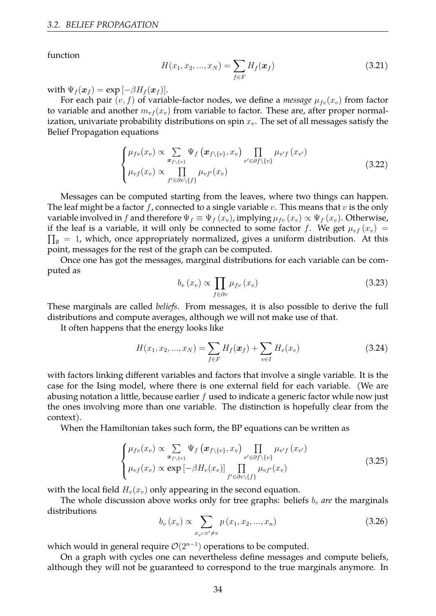function

<span id="page-34-1"></span>
$$
H(x_1, x_2, ..., x_N) = \sum_{f \in F} H_f(\boldsymbol{x}_f)
$$
\n(3.21)

with  $\Psi_f(\boldsymbol{x}_f) = \exp\left[-\beta H_f(\boldsymbol{x}_f)\right].$ 

For each pair  $(v, f)$  of variable-factor nodes, we define a *message*  $\mu_{fv}(x_v)$  from factor to variable and another  $m_{vf}(x_v)$  from variable to factor. These are, after proper normalization, univariate probability distributions on spin *xv*. The set of all messages satisfy the Belief Propagation equations

<span id="page-34-0"></span>
$$
\begin{cases}\n\mu_{fv}(x_v) \propto \sum_{\mathbf{x}_{f \setminus \{v\}}} \Psi_f\left(\mathbf{x}_{f \setminus \{v\}}, x_v\right) \prod_{v' \in \partial f \setminus \{v\}} \mu_{v'f}\left(x_{v'}\right) \\
\mu_{vf}(x_v) \propto \prod_{f' \in \partial v \setminus \{f\}} \mu_{vf'}(x_v)\n\end{cases} \tag{3.22}
$$

Messages can be computed starting from the leaves, where two things can happen. The leaf might be a factor *f*, connected to a single variable *v*. This means that *v* is the only variable involved in *f* and therefore  $\Psi_f \equiv \Psi_f(x_v)$ , implying  $\mu_{fv}(x_v) \propto \Psi_f(x_v)$ . Otherwise, if the leaf is a variable, it will only be connected to some factor  $f$ . We get  $\mu_{vf}(x_v)$  =  $\prod_{\emptyset}$  = 1, which, once appropriately normalized, gives a uniform distribution. At this point, messages for the rest of the graph can be computed.

Once one has got the messages, marginal distributions for each variable can be computed as

<span id="page-34-3"></span>
$$
b_v(x_v) \propto \prod_{f \in \partial v} \mu_{fv}(x_v) \tag{3.23}
$$

These marginals are called *beliefs*. From messages, it is also possible to derive the full distributions and compute averages, although we will not make use of that.

It often happens that the energy looks like

<span id="page-34-2"></span>
$$
H(x_1, x_2, ..., x_N) = \sum_{f \in F} H_f(\boldsymbol{x}_f) + \sum_{v \in I} H_v(x_v)
$$
\n(3.24)

with factors linking different variables and factors that involve a single variable. It is the case for the Ising model, where there is one external field for each variable. (We are abusing notation a little, because earlier *f* used to indicate a generic factor while now just the ones involving more than one variable. The distinction is hopefully clear from the context).

When the Hamiltonian takes such form, the BP equations can be written as

$$
\begin{cases}\n\mu_{fv}(x_v) \propto \sum_{x_{f \setminus \{v\}}} \Psi_f \left( x_{f \setminus \{v\}}, x_v \right) \prod_{v' \in \partial f \setminus \{v\}} \mu_{v'f} \left( x_{v'} \right) \\
\mu_{vf}(x_v) \propto \exp \left[ -\beta H_v(x_v) \right] \prod_{f' \in \partial v \setminus \{f\}} \mu_{vf}(x_v)\n\end{cases} \tag{3.25}
$$

with the local field  $H_v(x_v)$  only appearing in the second equation.

The whole discussion above works only for tree graphs: beliefs  $b<sub>v</sub>$  *are* the marginals distributions

$$
b_v(x_v) \propto \sum_{x_{v'}:v' \neq v} p(x_1, x_2, ..., x_n)
$$
 (3.26)

which would in general require *O*(2*<sup>n</sup>−*<sup>1</sup> ) operations to be computed.

On a graph with cycles one can nevertheless define messages and compute beliefs, although they will not be guaranteed to correspond to the true marginals anymore. In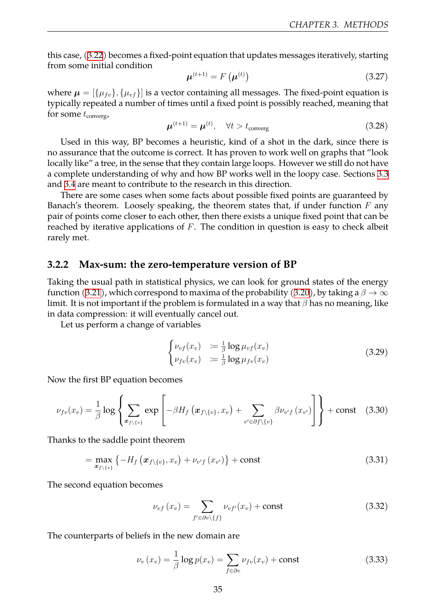this case,([3.22](#page-34-0)) becomes a fixed-point equation that updates messages iteratively, starting from some initial condition

$$
\boldsymbol{\mu}^{(t+1)} = F\left(\boldsymbol{\mu}^{(t)}\right) \tag{3.27}
$$

where  $\mu = [\{\mu_{fv}\}, {\{\mu_{vf}\}}]$  is a vector containing all messages. The fixed-point equation is typically repeated a number of times until a fixed point is possibly reached, meaning that for some  $t_{\text{converg}}$ ,

$$
\boldsymbol{\mu}^{(t+1)} = \boldsymbol{\mu}^{(t)}, \quad \forall t > t_{\text{converg}} \tag{3.28}
$$

Used in this way, BP becomes a heuristic, kind of a shot in the dark, since there is no assurance that the outcome is correct. It has proven to work well on graphs that "look locally like" a tree, in the sense that they contain large loops. However we still do not have a complete understanding of why and how BP works well in the loopy case. Sections [3.3](#page-37-1) and [3.4](#page-41-0) are meant to contribute to the research in this direction.

There are some cases when some facts about possible fixed points are guaranteed by Banach's theorem. Loosely speaking, the theorem states that, if under function *F* any pair of points come closer to each other, then there exists a unique fixed point that can be reached by iterative applications of *F*. The condition in question is easy to check albeit rarely met.

#### <span id="page-35-0"></span>**3.2.2 Max-sum: the zero-temperature version of BP**

Taking the usual path in statistical physics, we can look for ground states of the energy function([3.21\)](#page-34-1), which correspond to maxima of the probability([3.20](#page-33-2)), by taking a *β → ∞* limit. It is not important if the problem is formulated in a way that *β* has no meaning, like in data compression: it will eventually cancel out.

Let us perform a change of variables

$$
\begin{cases}\n\nu_{vf}(x_v) &:= \frac{1}{\beta} \log \mu_{vf}(x_v) \\
\nu_{fv}(x_v) &:= \frac{1}{\beta} \log \mu_{fv}(x_v)\n\end{cases}\n\tag{3.29}
$$

Now the first BP equation becomes

$$
\nu_{fv}(x_v) = \frac{1}{\beta} \log \left\{ \sum_{\boldsymbol{x}_{f \setminus \{v\}}} \exp \left[ -\beta H_f \left( \boldsymbol{x}_{f \setminus \{v\}}, x_v \right) + \sum_{v' \in \partial f \setminus \{v\}} \beta \nu_{v'f} \left( x_{v'} \right) \right] \right\} + \text{const} \quad (3.30)
$$

Thanks to the saddle point theorem

$$
= \max_{x_{f\setminus\{v\}}}\left\{-H_f\left(x_{f\setminus\{v\}}, x_v\right) + \nu_{v'f}\left(x_{v'}\right)\right\} + \text{const} \tag{3.31}
$$

The second equation becomes

$$
\nu_{vf}(x_v) = \sum_{f' \in \partial v \setminus \{f\}} \nu_{vf'}(x_v) + \text{const}
$$
\n(3.32)

The counterparts of beliefs in the new domain are

$$
\nu_v(x_v) = \frac{1}{\beta} \log p(x_v) = \sum_{f \in \partial v} \nu_{fv}(x_v) + \text{const}
$$
\n(3.33)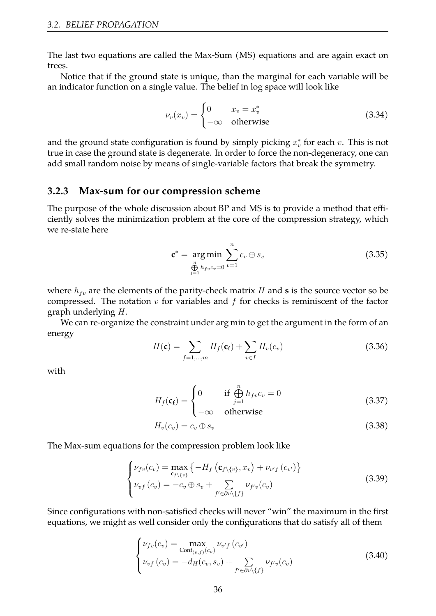The last two equations are called the Max-Sum (MS) equations and are again exact on trees.

Notice that if the ground state is unique, than the marginal for each variable will be an indicator function on a single value. The belief in log space will look like

$$
\nu_v(x_v) = \begin{cases} 0 & x_v = x_v^* \\ -\infty & \text{otherwise} \end{cases}
$$
 (3.34)

and the ground state configuration is found by simply picking  $x_v^*$  for each  $v$ . This is not true in case the ground state is degenerate. In order to force the non-degeneracy, one can add small random noise by means of single-variable factors that break the symmetry.

#### <span id="page-36-0"></span>**3.2.3 Max-sum for our compression scheme**

The purpose of the whole discussion about BP and MS is to provide a method that efficiently solves the minimization problem at the core of the compression strategy, which we re-state here

$$
\mathbf{c}^* = \underset{\substack{n \\ \bigoplus_{j=1}^n h_{fv}c_v = 0}}{\arg \min} \sum_{v=1}^n c_v \oplus s_v \tag{3.35}
$$

where  $h_{fv}$  are the elements of the parity-check matrix *H* and **s** is the source vector so be compressed. The notation *v* for variables and *f* for checks is reminiscent of the factor graph underlying *H*.

We can re-organize the constraint under arg min to get the argument in the form of an energy

$$
H(\mathbf{c}) = \sum_{f=1,\dots,m} H_f(\mathbf{c_f}) + \sum_{v \in I} H_v(c_v)
$$
\n(3.36)

with

$$
H_f(\mathbf{c_f}) = \begin{cases} 0 & \text{if } \bigoplus_{j=1}^n h_{fv} c_v = 0\\ -\infty & \text{otherwise} \end{cases}
$$
(3.37)

$$
H_v(c_v) = c_v \oplus s_v \tag{3.38}
$$

The Max-sum equations for the compression problem look like

<span id="page-36-2"></span>
$$
\begin{cases}\n\nu_{fv}(c_v) = \max_{\mathbf{c}_{f \setminus \{v\}}} \{-H_f\left(\mathbf{c}_{f \setminus \{v\}}, x_v\right) + \nu_{v'f}\left(c_{v'}\right)\} \\
\nu_{vf}\left(c_v\right) = -c_v \oplus s_v + \sum_{f' \in \partial v \setminus \{f\}} \nu_{f'v}\left(c_v\right)\n\end{cases} \tag{3.39}
$$

Since configurations with non-satisfied checks will never "win" the maximum in the first equations, we might as well consider only the configurations that do satisfy all of them

<span id="page-36-1"></span>
$$
\begin{cases}\n\nu_{fv}(c_v) = \max_{\text{Conf}_{(v,f)}(c_v)} \nu_{v'f}(c_{v'}) \\
\nu_{vf}(c_v) = -d_H(c_v, s_v) + \sum_{f' \in \partial v \setminus \{f\}} \nu_{f'v}(c_v)\n\end{cases} \tag{3.40}
$$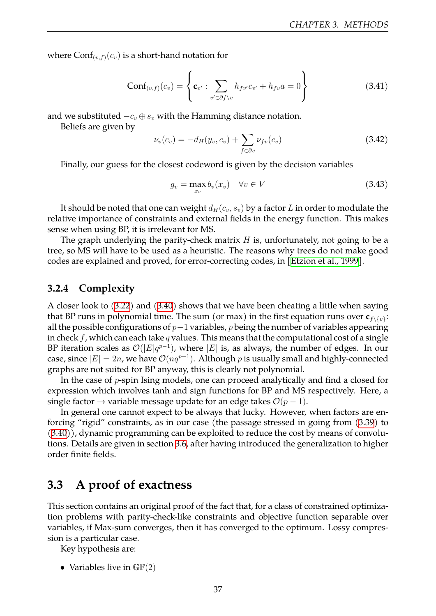where  $\text{Conf}_{(v,f)}(c_v)$  is a short-hand notation for

$$
Conf_{(v,f)}(c_v) = \left\{ \mathbf{c}_{v'} : \sum_{v' \in \partial f \setminus v} h_{f v'} c_{v'} + h_{f v} a = 0 \right\}
$$
 (3.41)

and we substituted *−c<sup>v</sup> ⊕ s<sup>v</sup>* with the Hamming distance notation.

Beliefs are given by

$$
\nu_v(c_v) = -d_H(y_v, c_v) + \sum_{f \in \partial v} \nu_{fv}(c_v)
$$
\n(3.42)

Finally, our guess for the closest codeword is given by the decision variables

<span id="page-37-2"></span>
$$
g_v = \max_{x_v} b_v(x_v) \quad \forall v \in V \tag{3.43}
$$

It should be noted that one can weight  $d_H(c_v, s_v)$  by a factor *L* in order to modulate the relative importance of constraints and external fields in the energy function. This makes sense when using BP, it is irrelevant for MS.

The graph underlying the parity-check matrix *H* is, unfortunately, not going to be a tree, so MS will have to be used as a heuristic. The reasons why trees do not make good codes are explained and proved, for error-correcting codes, in [\[Etzion et al., 1999](#page-57-8)].

#### <span id="page-37-0"></span>**3.2.4 Complexity**

A closer look to([3.22](#page-34-0)) and([3.40\)](#page-36-1) shows that we have been cheating a little when saying that BP runs in polynomial time. The sum (or max) in the first equation runs over  $\mathbf{c}_{f\setminus\{v\}}$ : all the possible configurations of *p−*1 variables, *p* being the number of variables appearing in check *f*, which can each take *q* values. This means that the computational cost of a single BP iteration scales as  $\mathcal{O}(|E|q^{p-1})$ , where  $|E|$  is, as always, the number of edges. In our case, since  $|E| = 2n$ , we have  $\mathcal{O}(nq^{p-1})$ . Although  $p$  is usually small and highly-connected graphs are not suited for BP anyway, this is clearly not polynomial.

In the case of *p*-spin Ising models, one can proceed analytically and find a closed for expression which involves tanh and sign functions for BP and MS respectively. Here, a single factor  $\rightarrow$  variable message update for an edge takes  $\mathcal{O}(p-1)$ .

In general one cannot expect to be always that lucky. However, when factors are enforcing "rigid" constraints, as in our case (the passage stressed in going from([3.39\)](#page-36-2) to [\(3.40](#page-36-1))), dynamic programming can be exploited to reduce the cost by means of convolutions. Details are given in section [3.6](#page-43-0), after having introduced the generalization to higher order finite fields.

## <span id="page-37-1"></span>**3.3 A proof of exactness**

This section contains an original proof of the fact that, for a class of constrained optimization problems with parity-check-like constraints and objective function separable over variables, if Max-sum converges, then it has converged to the optimum. Lossy compression is a particular case.

Key hypothesis are:

• Variables live in  $\mathbb{GF}(2)$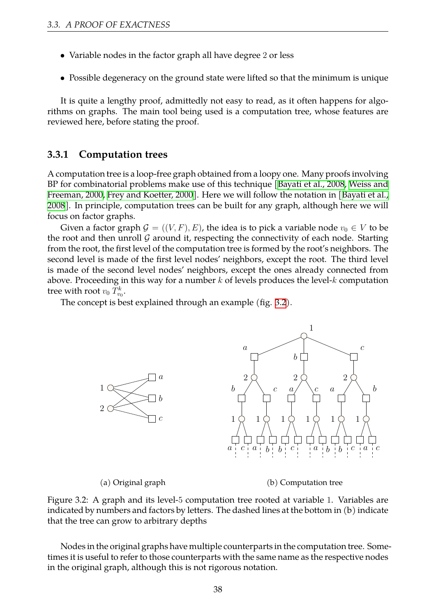- Variable nodes in the factor graph all have degree 2 or less
- Possible degeneracy on the ground state were lifted so that the minimum is unique

It is quite a lengthy proof, admittedly not easy to read, as it often happens for algorithms on graphs. The main tool being used is a computation tree, whose features are reviewed here, before stating the proof.

#### <span id="page-38-0"></span>**3.3.1 Computation trees**

A computation tree is a loop-free graph obtained from a loopy one. Many proofs involving BP for combinatorial problems make use of this technique[[Bayati et al., 2008,](#page-57-9) [Weiss and](#page-58-13) [Freeman, 2000,](#page-58-13) [Frey and Koetter, 2000\]](#page-57-10). Here we will follow the notation in [\[Bayati et al.,](#page-57-9) [2008\]](#page-57-9). In principle, computation trees can be built for any graph, although here we will focus on factor graphs.

Given a factor graph  $\mathcal{G} = ((V, F), E)$ , the idea is to pick a variable node  $v_0 \in V$  to be the root and then unroll  $G$  around it, respecting the connectivity of each node. Starting from the root, the first level of the computation tree is formed by the root's neighbors. The second level is made of the first level nodes' neighbors, except the root. The third level is made of the second level nodes' neighbors, except the ones already connected from above. Proceeding in this way for a number *k* of levels produces the level-*k* computation tree with root  $v_0$   $T_{v_0}^k$ .

<span id="page-38-1"></span>The concept is best explained through an example (fig. [3.2\)](#page-38-1).

![](_page_38_Figure_8.jpeg)

(a) Original graph

(b) Computation tree

Figure 3.2: A graph and its level-5 computation tree rooted at variable 1. Variables are indicated by numbers and factors by letters. The dashed lines at the bottom in (b) indicate that the tree can grow to arbitrary depths

Nodes in the original graphs have multiple counterparts in the computation tree. Sometimes it is useful to refer to those counterparts with the same name as the respective nodes in the original graph, although this is not rigorous notation.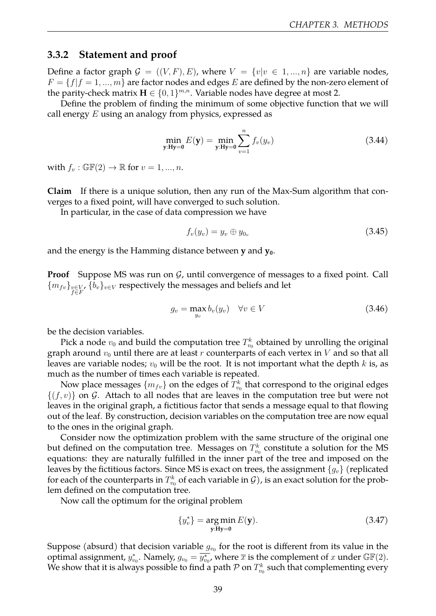#### <span id="page-39-0"></span>**3.3.2 Statement and proof**

Define a factor graph  $\mathcal{G} = ((V, F), E)$ , where  $V = \{v | v \in 1, ..., n\}$  are variable nodes,  $F = \{f | f = 1, ..., m\}$  are factor nodes and edges *E* are defined by the non-zero element of the parity-check matrix  $\mathbf{H} \in \{0, 1\}^{m,n}$ . Variable nodes have degree at most 2.

Define the problem of finding the minimum of some objective function that we will call energy *E* using an analogy from physics, expressed as

<span id="page-39-1"></span>
$$
\min_{\mathbf{y}: \mathbf{Hy}=0} E(\mathbf{y}) = \min_{\mathbf{y}: \mathbf{Hy}=0} \sum_{v=1}^{n} f_v(y_v)
$$
\n(3.44)

with  $f_v : \mathbb{GF}(2) \to \mathbb{R}$  for  $v = 1, ..., n$ .

**Claim** If there is a unique solution, then any run of the Max-Sum algorithm that converges to a fixed point, will have converged to such solution.

In particular, in the case of data compression we have

$$
f_v(y_v) = y_v \oplus y_{0_v} \tag{3.45}
$$

and the energy is the Hamming distance between **y** and **y0**.

**Proof** Suppose MS was run on *G*, until convergence of messages to a fixed point. Call  ${m_{fv}}_{f\in F}$ ,  ${b_v}_{v\in V}$  respectively the messages and beliefs and let

$$
g_v = \max_{y_v} b_v(y_v) \quad \forall v \in V \tag{3.46}
$$

be the decision variables.

Pick a node  $v_0$  and build the computation tree  $T_{v_0}^k$  obtained by unrolling the original graph around  $v_0$  until there are at least  $r$  counterparts of each vertex in  $V$  and so that all leaves are variable nodes;  $v_0$  will be the root. It is not important what the depth  $k$  is, as much as the number of times each variable is repeated.

Now place messages  $\{m_{fv}\}$  on the edges of  $T_{v_0}^k$  that correspond to the original edges  ${(f, v)}$  on *G*. Attach to all nodes that are leaves in the computation tree but were not leaves in the original graph, a fictitious factor that sends a message equal to that flowing out of the leaf. By construction, decision variables on the computation tree are now equal to the ones in the original graph.

Consider now the optimization problem with the same structure of the original one but defined on the computation tree. Messages on  $T_{v_0}^k$  constitute a solution for the MS equations: they are naturally fulfilled in the inner part of the tree and imposed on the leaves by the fictitious factors. Since MS is exact on trees, the assignment *{gv}* (replicated for each of the counterparts in  $T_{v_0}^k$  of each variable in  $\mathcal G$  ), is an exact solution for the problem defined on the computation tree.

Now call the optimum for the original problem

$$
\{y_v^*\} = \underset{\mathbf{y}: \mathbf{H}\mathbf{y} = \mathbf{0}}{\arg \min} E(\mathbf{y}).\tag{3.47}
$$

Suppose (absurd) that decision variable  $g_{v_0}$  for the root is different from its value in the optimal assignment,  $y_{v_0}^*$ . Namely,  $g_{v_0} = \overline{y_{v_0}^*}$ , where  $\overline{x}$  is the complement of *x* under  $\mathbb{GF}(2)$ . We show that it is always possible to find a path  ${\mathcal P}$  on  $T_{v_0}^k$  such that complementing every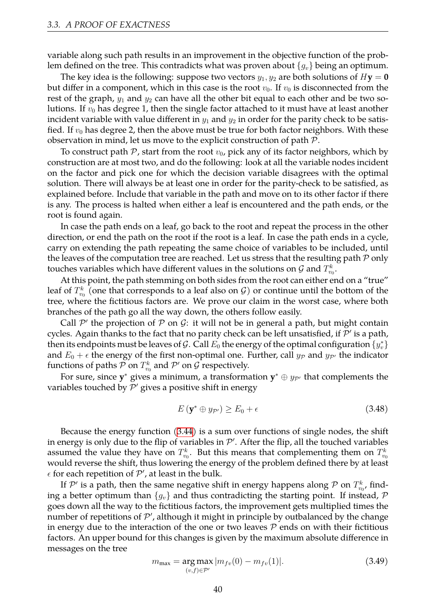variable along such path results in an improvement in the objective function of the problem defined on the tree. This contradicts what was proven about *{gv}* being an optimum.

The key idea is the following: suppose two vectors  $y_1, y_2$  are both solutions of  $H$ **y** = **0** but differ in a component, which in this case is the root  $v_0$ . If  $v_0$  is disconnected from the rest of the graph,  $y_1$  and  $y_2$  can have all the other bit equal to each other and be two solutions. If  $v_0$  has degree 1, then the single factor attached to it must have at least another incident variable with value different in  $y_1$  and  $y_2$  in order for the parity check to be satisfied. If  $v_0$  has degree 2, then the above must be true for both factor neighbors. With these observation in mind, let us move to the explicit construction of path *P*.

To construct path  $P$ , start from the root  $v_0$ , pick any of its factor neighbors, which by construction are at most two, and do the following: look at all the variable nodes incident on the factor and pick one for which the decision variable disagrees with the optimal solution. There will always be at least one in order for the parity-check to be satisfied, as explained before. Include that variable in the path and move on to its other factor if there is any. The process is halted when either a leaf is encountered and the path ends, or the root is found again.

In case the path ends on a leaf, go back to the root and repeat the process in the other direction, or end the path on the root if the root is a leaf. In case the path ends in a cycle, carry on extending the path repeating the same choice of variables to be included, until the leaves of the computation tree are reached. Let us stress that the resulting path *P* only touches variables which have different values in the solutions on  ${\cal G}$  and  $T_{v_0}^k.$ 

At this point, the path stemming on both sides from the root can either end on a "true" leaf of  $T_{v_0}^k$  (one that corresponds to a leaf also on  $\mathcal G)$  or continue until the bottom of the tree, where the fictitious factors are. We prove our claim in the worst case, where both branches of the path go all the way down, the others follow easily.

Call  $\mathcal{P}'$  the projection of  $\mathcal P$  on  $\mathcal G$ : it will not be in general a path, but might contain cycles. Again thanks to the fact that no parity check can be left unsatisfied, if *P ′* is a path, then its endpoints must be leaves of  $\mathcal G$ . Call  $E_0$  the energy of the optimal configuration  $\{y^*_v\}$ and  $E_0 + \epsilon$  the energy of the first non-optimal one. Further, call  $y_{\mathcal{P}}$  and  $y_{\mathcal{P}'}$  the indicator functions of paths  $\mathcal P$  on  $T^k_{v_0}$  and  $\mathcal P'$  on  $\mathcal G$  respectively.

For sure, since **y** *<sup>∗</sup>* gives a minimum, a transformation **y** *<sup>∗</sup> ⊕ yP′* that complements the variables touched by *P ′* gives a positive shift in energy

$$
E\left(\mathbf{y}^* \oplus y_{\mathcal{P}'}\right) \ge E_0 + \epsilon \tag{3.48}
$$

Because the energy function [\(3.44](#page-39-1)) is a sum over functions of single nodes, the shift in energy is only due to the flip of variables in  $\mathcal{P}'$ . After the flip, all the touched variables assumed the value they have on  $T_{v_0}^k$ . But this means that complementing them on  $T_{v_0}^k$ would reverse the shift, thus lowering the energy of the problem defined there by at least  $\epsilon$  for each repetition of  $\mathcal{P}'$ , at least in the bulk.

If  $\mathcal{P}'$  is a path, then the same negative shift in energy happens along  $\mathcal{P}$  on  $T^k_{v_0}$ , finding a better optimum than  ${g_v}$  and thus contradicting the starting point. If instead,  $P$ goes down all the way to the fictitious factors, the improvement gets multiplied times the number of repetitions of  $\mathcal{P}'$ , although it might in principle by outbalanced by the change in energy due to the interaction of the one or two leaves  $P$  ends on with their fictitious factors. An upper bound for this changes is given by the maximum absolute difference in messages on the tree

$$
m_{\max} = \underset{(v,f)\in\mathcal{P}'}{\arg\max} |m_{fv}(0) - m_{fv}(1)|. \tag{3.49}
$$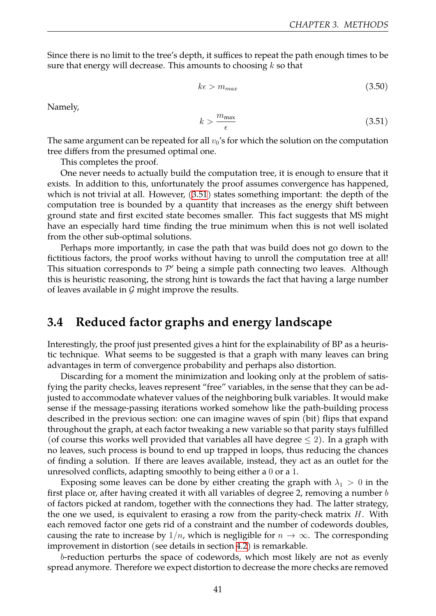Since there is no limit to the tree's depth, it suffices to repeat the path enough times to be sure that energy will decrease. This amounts to choosing *k* so that

$$
k\epsilon > m_{max} \tag{3.50}
$$

Namely,

<span id="page-41-1"></span>
$$
k > \frac{m_{\text{max}}}{\epsilon} \tag{3.51}
$$

The same argument can be repeated for all  $v_0$ 's for which the solution on the computation tree differs from the presumed optimal one.

This completes the proof.

One never needs to actually build the computation tree, it is enough to ensure that it exists. In addition to this, unfortunately the proof assumes convergence has happened, which is not trivial at all. However, [\(3.51](#page-41-1)) states something important: the depth of the computation tree is bounded by a quantity that increases as the energy shift between ground state and first excited state becomes smaller. This fact suggests that MS might have an especially hard time finding the true minimum when this is not well isolated from the other sub-optimal solutions.

Perhaps more importantly, in case the path that was build does not go down to the fictitious factors, the proof works without having to unroll the computation tree at all! This situation corresponds to *P ′* being a simple path connecting two leaves. Although this is heuristic reasoning, the strong hint is towards the fact that having a large number of leaves available in *G* might improve the results.

## <span id="page-41-0"></span>**3.4 Reduced factor graphs and energy landscape**

Interestingly, the proof just presented gives a hint for the explainability of BP as a heuristic technique. What seems to be suggested is that a graph with many leaves can bring advantages in term of convergence probability and perhaps also distortion.

Discarding for a moment the minimization and looking only at the problem of satisfying the parity checks, leaves represent "free" variables, in the sense that they can be adjusted to accommodate whatever values of the neighboring bulk variables. It would make sense if the message-passing iterations worked somehow like the path-building process described in the previous section: one can imagine waves of spin (bit) flips that expand throughout the graph, at each factor tweaking a new variable so that parity stays fulfilled (of course this works well provided that variables all have degree *≤* 2). In a graph with no leaves, such process is bound to end up trapped in loops, thus reducing the chances of finding a solution. If there are leaves available, instead, they act as an outlet for the unresolved conflicts, adapting smoothly to being either a 0 or a 1.

Exposing some leaves can be done by either creating the graph with  $\lambda_1 > 0$  in the first place or, after having created it with all variables of degree 2, removing a number *b* of factors picked at random, together with the connections they had. The latter strategy, the one we used, is equivalent to erasing a row from the parity-check matrix *H*. With each removed factor one gets rid of a constraint and the number of codewords doubles, causing the rate to increase by  $1/n$ , which is negligible for  $n \to \infty$ . The corresponding improvement in distortion (see details in section [4.2\)](#page-51-1) is remarkable.

*b*-reduction perturbs the space of codewords, which most likely are not as evenly spread anymore. Therefore we expect distortion to decrease the more checks are removed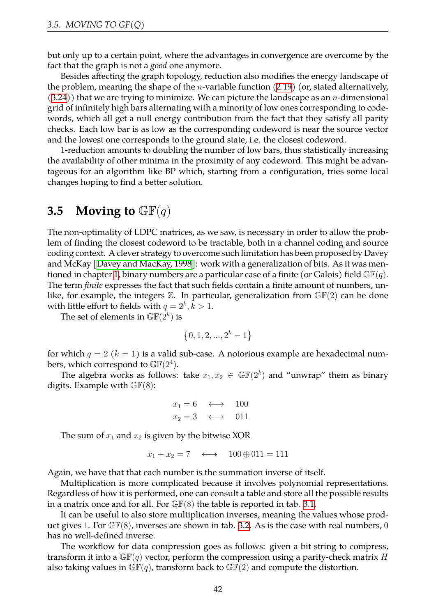but only up to a certain point, where the advantages in convergence are overcome by the fact that the graph is not a *good* one anymore.

Besides affecting the graph topology, reduction also modifies the energy landscape of the problem, meaning the shape of the *n*-variable function([2.19\)](#page-26-1) (or, stated alternatively, [\(3.24](#page-34-2))) that we are trying to minimize. We can picture the landscape as an *n*-dimensional grid of infinitely high bars alternating with a minority of low ones corresponding to codewords, which all get a null energy contribution from the fact that they satisfy all parity checks. Each low bar is as low as the corresponding codeword is near the source vector and the lowest one corresponds to the ground state, i.e. the closest codeword.

1-reduction amounts to doubling the number of low bars, thus statistically increasing the availability of other minima in the proximity of any codeword. This might be advantageous for an algorithm like BP which, starting from a configuration, tries some local changes hoping to find a better solution.

### <span id="page-42-0"></span>**3.5** Moving to  $\mathbb{GF}(q)$

The non-optimality of LDPC matrices, as we saw, is necessary in order to allow the problem of finding the closest codeword to be tractable, both in a channel coding and source coding context. A clever strategy to overcome such limitation has been proposed by Davey and McKay [\[Davey and MacKay, 1998\]](#page-57-11): work with a generalization of bits. As it was men-tioned in chapter [1,](#page-4-0) binary numbers are a particular case of a finite (or Galois) field  $\mathbb{GF}(q)$ . The term *finite* expresses the fact that such fields contain a finite amount of numbers, unlike, for example, the integers  $\mathbb{Z}$ . In particular, generalization from  $\mathbb{GF}(2)$  can be done with little effort to fields with  $q = 2^k, k > 1$ .

The set of elements in  $\mathbb{GF}(2^k)$  is

$$
\left\{0, 1, 2, ..., 2^k - 1\right\}
$$

for which  $q = 2$  ( $k = 1$ ) is a valid sub-case. A notorious example are hexadecimal numbers, which correspond to  $\mathbb{GF}(2^4).$ 

The algebra works as follows: take  $x_1, x_2 \in \mathbb{GF}(2^k)$  and "unwrap" them as binary digits. Example with  $\mathbb{GF}(8)$ :

$$
x_1 = 6 \longleftrightarrow 100
$$
  

$$
x_2 = 3 \longleftrightarrow 011
$$

The sum of  $x_1$  and  $x_2$  is given by the bitwise XOR

$$
x_1 + x_2 = 7 \quad \longleftrightarrow \quad 100 \oplus 011 = 111
$$

Again, we have that that each number is the summation inverse of itself.

Multiplication is more complicated because it involves polynomial representations. Regardless of how it is performed, one can consult a table and store all the possible results in a matrix once and for all. For  $\mathbb{GF}(8)$  the table is reported in tab. [3.1](#page-43-2).

It can be useful to also store multiplication inverses, meaning the values whose product gives 1. For  $\mathbb{GF}(8)$ , inverses are shown in tab. [3.2.](#page-43-3) As is the case with real numbers, 0 has no well-defined inverse.

The workflow for data compression goes as follows: given a bit string to compress, transform it into a GF(*q*) vector, perform the compression using a parity-check matrix *H* also taking values in  $\mathbb{GF}(q)$ , transform back to  $\mathbb{GF}(2)$  and compute the distortion.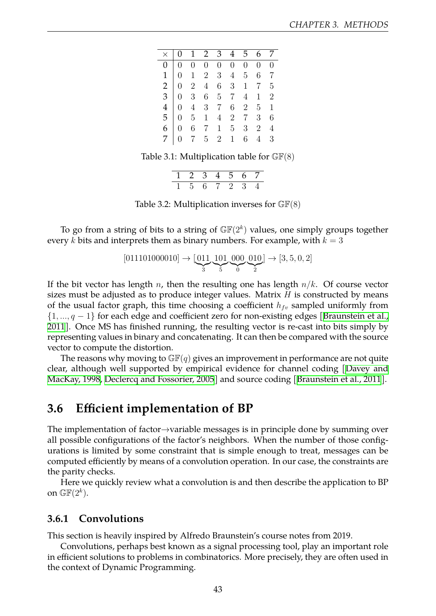<span id="page-43-2"></span>

|  |  |  | $\begin{array}{ccccccccc} 0 & 1 & 2 & 3 & 4 & 5 & 6 & 7 \end{array}$<br>$\begin{array}{c cccccccc} \hline \wedge & 0 & 1 & 2 & 3 & 4 & 5 & 6 & 7 \\ \hline 0 & 0 & 0 & 0 & 0 & 0 & 0 & 0 & 0 \\ 1 & 0 & 1 & 2 & 3 & 4 & 5 & 6 & 7 \\ 2 & 0 & 2 & 4 & 6 & 3 & 1 & 7 & 5 \\ 3 & 0 & 3 & 6 & 5 & 7 & 4 & 1 & 2 \\ 4 & 0 & 4 & 3 & 7 & 6 & 2 & 5 & 1 \\ 5 & 0 & 5 & 1 & 4 & 2 & 7 & 3 & 6 \\ 6 & 0 & 6 & 7 & 1$ |
|--|--|--|-------------------------------------------------------------------------------------------------------------------------------------------------------------------------------------------------------------------------------------------------------------------------------------------------------------------------------------------------------------------------------------------------------------|

Table 3.1: Multiplication table for  $\mathbb{GF}(8)$ 

Table 3.2: Multiplication inverses for  $\mathbb{GF}(8)$ 

<span id="page-43-3"></span>To go from a string of bits to a string of  $\mathbb{GF}(2^k)$  values, one simply groups together every *k* bits and interprets them as binary numbers. For example, with  $k = 3$ 

$$
[011101000010] \rightarrow [\underbrace{011}_{3} \underbrace{101}_{5} \underbrace{000}_{0} \underbrace{010}_{2}] \rightarrow [3, 5, 0, 2]
$$

If the bit vector has length *n*, then the resulting one has length *n*/*k*. Of course vector sizes must be adjusted as to produce integer values. Matrix *H* is constructed by means of the usual factor graph, this time choosing a coefficient  $h_{fv}$  sampled uniformly from *{*1*, ..., q −* 1*}* for each edge and coefficient zero for non-existing edges[[Braunstein et al.,](#page-57-7) [2011\]](#page-57-7). Once MS has finished running, the resulting vector is re-cast into bits simply by representing values in binary and concatenating. It can then be compared with the source vector to compute the distortion.

The reasons why moving to  $\mathbb{GF}(q)$  gives an improvement in performance are not quite clear, although well supported by empirical evidence for channel coding [\[Davey and](#page-57-11) [MacKay, 1998,](#page-57-11) [Declercq and Fossorier, 2005](#page-57-12)]and source coding [[Braunstein et al., 2011](#page-57-7)].

## <span id="page-43-0"></span>**3.6 Efficient implementation of BP**

The implementation of factor*→*variable messages is in principle done by summing over all possible configurations of the factor's neighbors. When the number of those configurations is limited by some constraint that is simple enough to treat, messages can be computed efficiently by means of a convolution operation. In our case, the constraints are the parity checks.

Here we quickly review what a convolution is and then describe the application to BP on  $\mathbb{GF}(2^k).$ 

#### <span id="page-43-1"></span>**3.6.1 Convolutions**

This section is heavily inspired by Alfredo Braunstein's course notes from 2019.

Convolutions, perhaps best known as a signal processing tool, play an important role in efficient solutions to problems in combinatorics. More precisely, they are often used in the context of Dynamic Programming.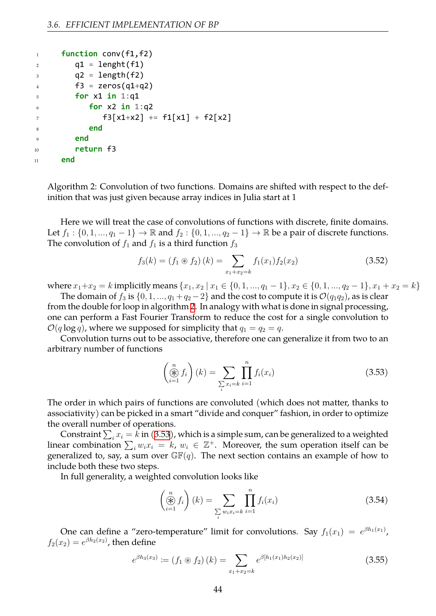<span id="page-44-0"></span>

| $\mathbf{1}$   | function $conv(f1, f2)$        |
|----------------|--------------------------------|
| 2              | $q1 = length(f1)$              |
| 3              | $q2 = length(f2)$              |
| $\overline{4}$ | $f3 = zeros(q1+q2)$            |
| .5             | for $x1$ in $1:q1$             |
| 6              | for $x2$ in $1:q2$             |
| 7              | $f3[x1+x2] += f1[x1] + f2[x2]$ |
| 8              | end                            |
| <sup>Q</sup>   | end                            |
| 10             | return f3                      |
| 11             | end                            |

Algorithm 2: Convolution of two functions. Domains are shifted with respect to the definition that was just given because array indices in Julia start at 1

Here we will treat the case of convolutions of functions with discrete, finite domains. Let *f*<sub>1</sub> : {0, 1, ..., *q*<sub>1</sub> − 1} → R and *f*<sub>2</sub> : {0, 1, ..., *q*<sub>2</sub> − 1} → R be a pair of discrete functions. The convolution of  $f_1$  and  $f_1$  is a third function  $f_3$ 

$$
f_3(k) = (f_1 \circledast f_2)(k) = \sum_{x_1 + x_2 = k} f_1(x_1) f_2(x_2)
$$
 (3.52)

where  $x_1 + x_2 = k$  implicitly means  $\{x_1, x_2 \mid x_1 \in \{0, 1, ..., q_1 - 1\}, x_2 \in \{0, 1, ..., q_2 - 1\}, x_1 + x_2 = k\}$ 

The domain of  $f_3$  is  $\{0, 1, ..., q_1 + q_2 - 2\}$  and the cost to compute it is  $\mathcal{O}(q_1q_2)$ , as is clear from the double for loop in algorithm [2](#page-44-0). In analogy with what is done in signal processing, one can perform a Fast Fourier Transform to reduce the cost for a single convolution to  $O(q \log q)$ , where we supposed for simplicity that  $q_1 = q_2 = q$ .

Convolution turns out to be associative, therefore one can generalize it from two to an arbitrary number of functions

<span id="page-44-1"></span>
$$
\left(\bigoplus_{i=1}^{n} f_i\right)(k) = \sum_{\sum_{i} x_i = k} \prod_{i=1}^{n} f_i(x_i)
$$
\n(3.53)

The order in which pairs of functions are convoluted (which does not matter, thanks to associativity) can be picked in a smart "divide and conquer" fashion, in order to optimize the overall number of operations.

Constraint  $\sum_i x_i = k$  in [\(3.53\)](#page-44-1), which is a simple sum, can be generalized to a weighted linear combination  $\sum_i w_i x_i = k$ ,  $w_i \in \mathbb{Z}^+$ . Moreover, the sum operation itself can be generalized to, say, a sum over  $\mathbb{GF}(q)$ . The next section contains an example of how to include both these two steps.

In full generality, a weighted convolution looks like

$$
\left(\bigoplus_{i=1}^{n} f_i\right)(k) = \sum_{\sum_{i} w_i x_i = k} \prod_{i=1}^{n} f_i(x_i)
$$
\n(3.54)

One can define a "zero-temperature" limit for convolutions. Say  $f_1(x_1) = e^{\beta h_1(x_1)}$ ,  $f_2(x_2) = e^{\beta h_2(x_2)}$ , then define

$$
e^{\beta h_3(x_3)} := (f_1 \circledast f_2)(k) = \sum_{x_1 + x_2 = k} e^{\beta [h_1(x_1)h_2(x_2)]}
$$
(3.55)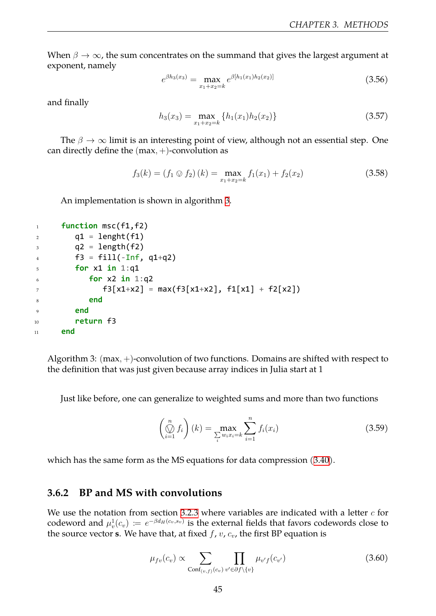When  $\beta \to \infty$ , the sum concentrates on the summand that gives the largest argument at exponent, namely

$$
e^{\beta h_3(x_3)} = \max_{x_1 + x_2 = k} e^{\beta [h_1(x_1) h_2(x_2)]}
$$
(3.56)

and finally

$$
h_3(x_3) = \max_{x_1 + x_2 = k} \{ h_1(x_1) h_2(x_2) \}
$$
 (3.57)

The *β → ∞* limit is an interesting point of view, although not an essential step. One can directly define the (max*,* +)-convolution as

$$
f_3(k) = (f_1 \otimes f_2)(k) = \max_{x_1 + x_2 = k} f_1(x_1) + f_2(x_2)
$$
 (3.58)

An implementation is shown in algorithm [3](#page-45-1).

```
1 function msc(f1,f2)
q1 = length(f1)3 \qquad \qquad q2 = length(f2)
4 f3 = fill(-Inf, q1+q2)5 for x1 in 1:q1
6 for x2 in 1:q2
\tau f3[x1+x2] = max(f3[x1+x2], f1[x1] + f2[x2])
8 end
9 end
10 return f3
11 end
```
Algorithm 3: (max*,* +)-convolution of two functions. Domains are shifted with respect to the definition that was just given because array indices in Julia start at 1

Just like before, one can generalize to weighted sums and more than two functions

$$
\left(\bigotimes_{i=1}^{n} f_i\right)(k) = \max_{\sum_{i} w_i x_i = k} \sum_{i=1}^{n} f_i(x_i)
$$
\n(3.59)

which has the same form as the MS equations for data compression [\(3.40](#page-36-1)).

#### <span id="page-45-0"></span>**3.6.2 BP and MS with convolutions**

We use the notation from section [3.2.3](#page-36-0) where variables are indicated with a letter *c* for codeword and  $\mu_v^1(c_v) \coloneqq e^{-\beta d_H(c_v,s_v)}$  is the external fields that favors codewords close to the source vector **s**. We have that, at fixed  $f$ ,  $v$ ,  $c_v$ , the first BP equation is

<span id="page-45-2"></span>
$$
\mu_{fv}(c_v) \propto \sum_{\text{Conf}_{(v,f)}(c_v)} \prod_{v' \in \partial f \setminus \{v\}} \mu_{v'f}(c_{v'}) \tag{3.60}
$$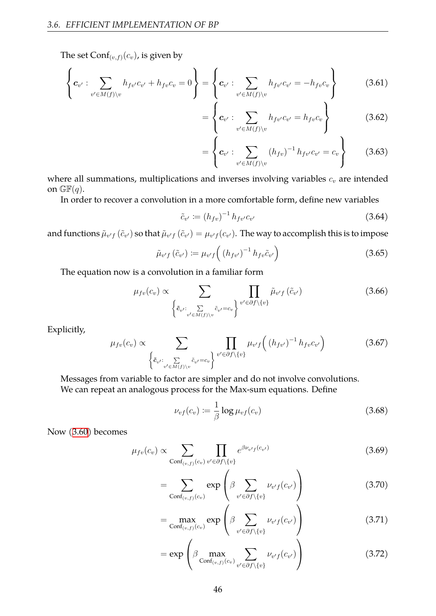The set  $Conf_{(v,f)}(c_v)$ , is given by

$$
\left\{ \boldsymbol{c}_{v'} : \sum_{v' \in M(f) \setminus v} h_{f v'} c_{v'} + h_{f v} c_v = 0 \right\} = \left\{ \boldsymbol{c}_{v'} : \sum_{v' \in M(f) \setminus v} h_{f v'} c_{v'} = -h_{f v} c_v \right\}
$$
(3.61)

$$
= \left\{ \mathbf{c}_{v'} : \sum_{v' \in M(f) \setminus v} h_{fv'} c_{v'} = h_{fv} c_v \right\}
$$
 (3.62)

$$
= \left\{ c_{v'} : \sum_{v' \in M(f) \setminus v} (h_{fv})^{-1} h_{fv'} c_{v'} = c_v \right\}
$$
 (3.63)

where all summations, multiplications and inverses involving variables  $c_v$  are intended on  $\mathbb{GF}(q)$ .

In order to recover a convolution in a more comfortable form, define new variables

$$
\tilde{c}_{v'} := (h_{fv})^{-1} h_{fv'} c_{v'}
$$
\n(3.64)

and functions  $\tilde{\mu}_{v'f}\,(\tilde{c}_{v'})$  so that  $\tilde{\mu}_{v'f}\,(\tilde{c}_{v'})=\mu_{v'f}(c_{v'}).$  The way to accomplish this is to impose

$$
\tilde{\mu}_{v'f}(\tilde{c}_{v'}) := \mu_{v'f}\left( (h_{fv'})^{-1} h_{fv}\tilde{c}_{v'} \right) \tag{3.65}
$$

The equation now is a convolution in a familiar form

$$
\mu_{fv}(c_v) \propto \sum_{\left\{ \tilde{c}_{v'} : \sum_{v' \in M(f) \setminus v} \tilde{c}_{v'} = c_v \right\}} \prod_{v' \in \partial f \setminus \{v\}} \tilde{\mu}_{v'f} \left( \tilde{c}_{v'} \right) \tag{3.66}
$$

Explicitly,

$$
\mu_{fv}(c_v) \propto \sum_{\left\{ \tilde{c}_{v'} : \sum_{v' \in M(f) \setminus v} \tilde{c}_{v'} = c_v \right\}} \prod_{v' \in \partial f \setminus \{v\}} \mu_{v'f} \left( (h_{fv'})^{-1} h_{fv} c_{v'} \right) \tag{3.67}
$$

Messages from variable to factor are simpler and do not involve convolutions. We can repeat an analogous process for the Max-sum equations. Define

<span id="page-46-0"></span>
$$
\nu_{vf}(c_v) := \frac{1}{\beta} \log \mu_{vf}(c_v)
$$
\n(3.68)

Now [\(3.60\)](#page-45-2) becomes

$$
\mu_{fv}(c_v) \propto \sum_{\text{Conf}_{(v,f)}(c_v)} \prod_{v' \in \partial f \setminus \{v\}} e^{\beta \nu_{v'f}(c_{v'})}
$$
\n(3.69)

$$
= \sum_{\text{Conf}_{(v,f)}(c_v)} \exp\left(\beta \sum_{v' \in \partial f \setminus \{v\}} \nu_{v'f}(c_{v'})\right) \tag{3.70}
$$

$$
= \max_{\text{Conf}_{(v,f)}(c_v)} \exp\left(\beta \sum_{v' \in \partial f \setminus \{v\}} \nu_{v'f}(c_{v'})\right) \tag{3.71}
$$

$$
= \exp\left(\beta \max_{\text{Conf}_{(v,f)}(c_v)} \sum_{v' \in \partial f \setminus \{v\}} \nu_{v'f}(c_{v'})\right) \tag{3.72}
$$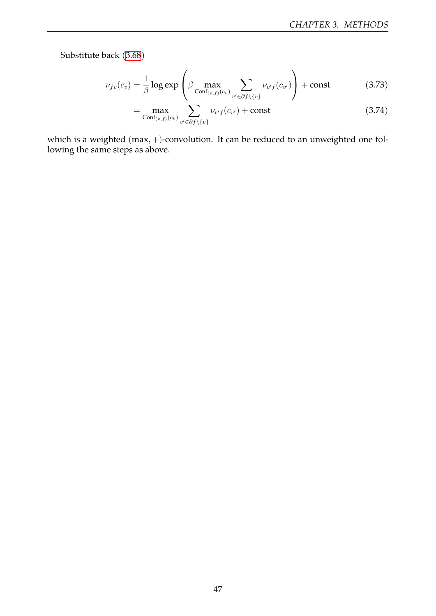Substitute back([3.68\)](#page-46-0)

$$
\nu_{fv}(c_v) = \frac{1}{\beta} \log \exp \left( \beta \max_{\text{Conf}_{(v,f)}(c_v)} \sum_{v' \in \partial f \setminus \{v\}} \nu_{v'f}(c_{v'}) \right) + \text{const}
$$
(3.73)

$$
= \max_{\text{Conf}_{(v,f)}(c_v)} \sum_{v' \in \partial f \setminus \{v\}} \nu_{v'f}(c_{v'}) + \text{const}
$$
\n(3.74)

which is a weighted (max*,* +)-convolution. It can be reduced to an unweighted one following the same steps as above.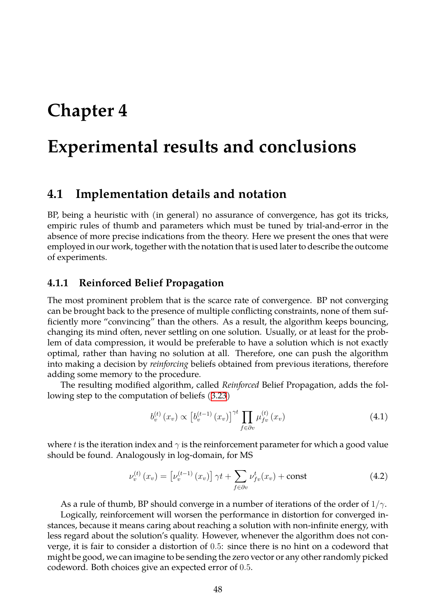## <span id="page-48-0"></span>**Chapter 4**

## **Experimental results and conclusions**

### <span id="page-48-1"></span>**4.1 Implementation details and notation**

BP, being a heuristic with (in general) no assurance of convergence, has got its tricks, empiric rules of thumb and parameters which must be tuned by trial-and-error in the absence of more precise indications from the theory. Here we present the ones that were employed in our work, together with the notation that is used later to describe the outcome of experiments.

#### <span id="page-48-2"></span>**4.1.1 Reinforced Belief Propagation**

The most prominent problem that is the scarce rate of convergence. BP not converging can be brought back to the presence of multiple conflicting constraints, none of them sufficiently more "convincing" than the others. As a result, the algorithm keeps bouncing, changing its mind often, never settling on one solution. Usually, or at least for the problem of data compression, it would be preferable to have a solution which is not exactly optimal, rather than having no solution at all. Therefore, one can push the algorithm into making a decision by *reinforcing* beliefs obtained from previous iterations, therefore adding some memory to the procedure.

The resulting modified algorithm, called *Reinforced* Belief Propagation, adds the following step to the computation of beliefs [\(3.23](#page-34-3))

$$
b_v^{(t)}(x_v) \propto \left[b_v^{(t-1)}(x_v)\right]^{\gamma t} \prod_{f \in \partial v} \mu_{fv}^{(t)}(x_v)
$$
\n(4.1)

where *t* is the iteration index and  $\gamma$  is the reinforcement parameter for which a good value should be found. Analogously in log-domain, for MS

$$
\nu_v^{(t)}\left(x_v\right) = \left[\nu_v^{(t-1)}\left(x_v\right)\right] \gamma t + \sum_{f \in \partial v} \nu_{fv}^t(x_v) + \text{const} \tag{4.2}
$$

As a rule of thumb, BP should converge in a number of iterations of the order of 1/*γ*. Logically, reinforcement will worsen the performance in distortion for converged instances, because it means caring about reaching a solution with non-infinite energy, with less regard about the solution's quality. However, whenever the algorithm does not converge, it is fair to consider a distortion of 0*.*5: since there is no hint on a codeword that might be good, we can imagine to be sending the zero vector or any other randomly picked codeword. Both choices give an expected error of 0*.*5.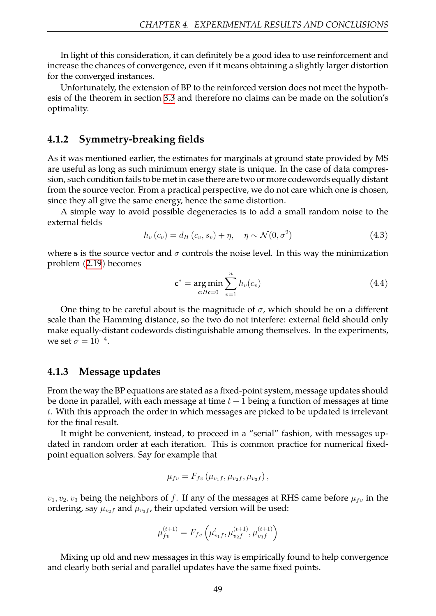In light of this consideration, it can definitely be a good idea to use reinforcement and increase the chances of convergence, even if it means obtaining a slightly larger distortion for the converged instances.

Unfortunately, the extension of BP to the reinforced version does not meet the hypothesis of the theorem in section [3.3](#page-37-1) and therefore no claims can be made on the solution's optimality.

#### <span id="page-49-0"></span>**4.1.2 Symmetry-breaking fields**

As it was mentioned earlier, the estimates for marginals at ground state provided by MS are useful as long as such minimum energy state is unique. In the case of data compression, such condition fails to be met in case there are two or more codewords equally distant from the source vector. From a practical perspective, we do not care which one is chosen, since they all give the same energy, hence the same distortion.

A simple way to avoid possible degeneracies is to add a small random noise to the external fields

$$
h_v(c_v) = d_H(c_v, s_v) + \eta, \quad \eta \sim \mathcal{N}(0, \sigma^2)
$$
\n(4.3)

where **s** is the source vector and  $\sigma$  controls the noise level. In this way the minimization problem [\(2.19\)](#page-26-1) becomes

$$
\mathbf{c}^* = \underset{\mathbf{c}:H\mathbf{c}=0}{\arg\min} \sum_{v=1}^n h_v(c_v)
$$
 (4.4)

One thing to be careful about is the magnitude of  $\sigma$ , which should be on a different scale than the Hamming distance, so the two do not interfere: external field should only make equally-distant codewords distinguishable among themselves. In the experiments, we set  $\sigma = 10^{-4}$ .

#### <span id="page-49-1"></span>**4.1.3 Message updates**

From the way the BP equations are stated as a fixed-point system, message updates should be done in parallel, with each message at time *t* + 1 being a function of messages at time *t*. With this approach the order in which messages are picked to be updated is irrelevant for the final result.

It might be convenient, instead, to proceed in a "serial" fashion, with messages updated in random order at each iteration. This is common practice for numerical fixedpoint equation solvers. Say for example that

$$
\mu_{fv} = F_{fv} \left( \mu_{v_1f}, \mu_{v_2f}, \mu_{v_3f} \right),
$$

 $v_1, v_2, v_3$  being the neighbors of *f*. If any of the messages at RHS came before  $\mu_{fv}$  in the ordering, say  $\mu_{v_2f}$  and  $\mu_{v_3f}$ , their updated version will be used:

$$
\mu_{fv}^{(t+1)} = F_{fv}\left(\mu_{v_1f}^t, \mu_{v_2f}^{(t+1)}, \mu_{v_3f}^{(t+1)}\right)
$$

Mixing up old and new messages in this way is empirically found to help convergence and clearly both serial and parallel updates have the same fixed points.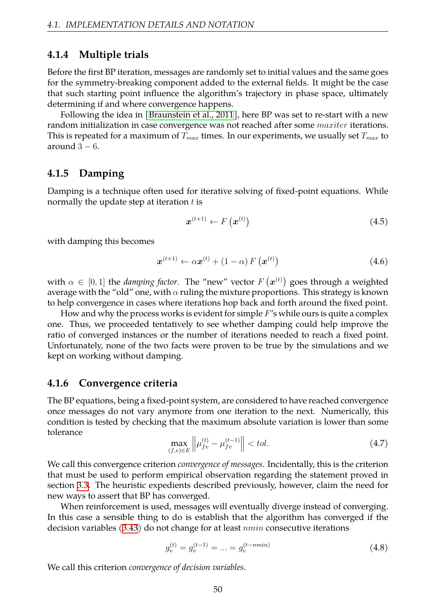#### <span id="page-50-0"></span>**4.1.4 Multiple trials**

Before the first BP iteration, messages are randomly set to initial values and the same goes for the symmetry-breaking component added to the external fields. It might be the case that such starting point influence the algorithm's trajectory in phase space, ultimately determining if and where convergence happens.

Following the idea in [\[Braunstein et al., 2011](#page-57-7)], here BP was set to re-start with a new random initialization in case convergence was not reached after some *maxiter* iterations. This is repeated for a maximum of *Tmax* times. In our experiments, we usually set *Tmax* to around 3 *−* 6.

#### <span id="page-50-1"></span>**4.1.5 Damping**

Damping is a technique often used for iterative solving of fixed-point equations. While normally the update step at iteration *t* is

$$
\boldsymbol{x}^{(t+1)} \leftarrow F\left(\boldsymbol{x}^{(t)}\right) \tag{4.5}
$$

with damping this becomes

$$
\boldsymbol{x}^{(t+1)} \leftarrow \alpha \boldsymbol{x}^{(t)} + (1 - \alpha) \, F\left(\boldsymbol{x}^{(t)}\right) \tag{4.6}
$$

with  $\alpha \, \in \, [0,1]$  the *damping factor*. The "new" vector  $F\left(\boldsymbol{x}^{(t)}\right)$  goes through a weighted average with the "old" one, with *α* ruling the mixture proportions. This strategy is known to help convergence in cases where iterations hop back and forth around the fixed point.

How and why the process works is evident for simple *F*'s while ours is quite a complex one. Thus, we proceeded tentatively to see whether damping could help improve the ratio of converged instances or the number of iterations needed to reach a fixed point. Unfortunately, none of the two facts were proven to be true by the simulations and we kept on working without damping.

#### <span id="page-50-2"></span>**4.1.6 Convergence criteria**

The BP equations, being a fixed-point system, are considered to have reached convergence once messages do not vary anymore from one iteration to the next. Numerically, this condition is tested by checking that the maximum absolute variation is lower than some tolerance

$$
\max_{(f,v)\in E} \left\| \mu_{fv}^{(t)} - \mu_{fv}^{(t-1)} \right\| < tol. \tag{4.7}
$$

We call this convergence criterion *convergence of messages*. Incidentally, this is the criterion that must be used to perform empirical observation regarding the statement proved in section [3.3](#page-37-1). The heuristic expedients described previously, however, claim the need for new ways to assert that BP has converged.

When reinforcement is used, messages will eventually diverge instead of converging. In this case a sensible thing to do is establish that the algorithm has converged if the decision variables [\(3.43](#page-37-2)) do not change for at least *nmin* consecutive iterations

$$
g_v^{(t)} = g_v^{(t-1)} = \dots = g_v^{(t-nmin)} \tag{4.8}
$$

We call this criterion *convergence of decision variables*.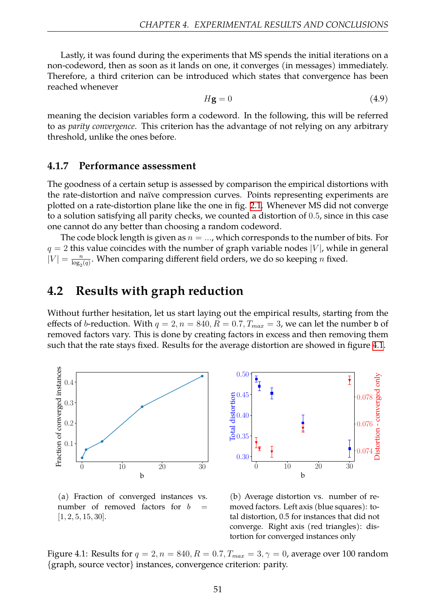Lastly, it was found during the experiments that MS spends the initial iterations on a non-codeword, then as soon as it lands on one, it converges (in messages) immediately. Therefore, a third criterion can be introduced which states that convergence has been reached whenever

$$
H\mathbf{g} = 0\tag{4.9}
$$

meaning the decision variables form a codeword. In the following, this will be referred to as *parity convergence*. This criterion has the advantage of not relying on any arbitrary threshold, unlike the ones before.

#### <span id="page-51-0"></span>**4.1.7 Performance assessment**

The goodness of a certain setup is assessed by comparison the empirical distortions with the rate-distortion and naïve compression curves. Points representing experiments are plotted on a rate-distortion plane like the one in fig. [2.1.](#page-19-1) Whenever MS did not converge to a solution satisfying all parity checks, we counted a distortion of 0*.*5, since in this case one cannot do any better than choosing a random codeword.

The code block length is given as *n* = *...*, which corresponds to the number of bits. For *q* = 2 this value coincides with the number of graph variable nodes *|V |*, while in general  $|V| = \frac{n}{\log n}$  $\frac{n}{\log_2(q)}$ . When comparing different field orders, we do so keeping *n* fixed.

## <span id="page-51-1"></span>**4.2 Results with graph reduction**

Without further hesitation, let us start laying out the empirical results, starting from the effects of *b*-reduction. With  $q = 2$ ,  $n = 840$ ,  $R = 0.7$ ,  $T_{max} = 3$ , we can let the number **b** of removed factors vary. This is done by creating factors in excess and then removing them such that the rate stays fixed. Results for the average distortion are showed in figure [4.1.](#page-51-2)

<span id="page-51-2"></span>![](_page_51_Figure_9.jpeg)

(a) Fraction of converged instances vs. number of removed factors for *b* [1*,* 2*,* 5*,* 15*,* 30].

(b) Average distortion vs. number of removed factors. Left axis (blue squares): total distortion, 0.5 for instances that did not converge. Right axis (red triangles): distortion for converged instances only

Figure 4.1: Results for  $q = 2, n = 840, R = 0.7, T_{max} = 3, \gamma = 0$ , average over 100 random {graph, source vector} instances, convergence criterion: parity.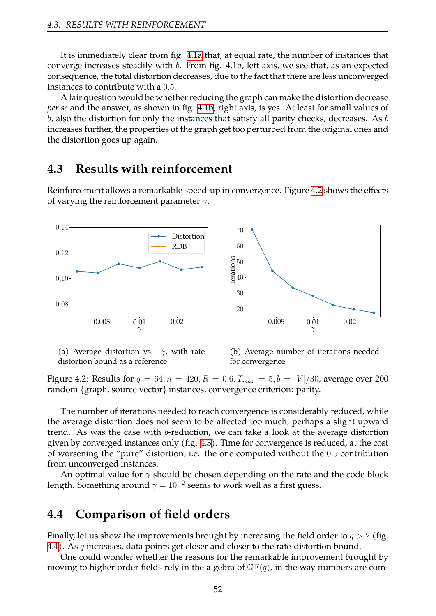It is immediately clear from fig. [4.1a](#page-51-2) that, at equal rate, the number of instances that converge increases steadily with *b*. From fig. [4.1b](#page-51-2), left axis, we see that, as an expected consequence, the total distortion decreases, due to the fact that there are less unconverged instances to contribute with a 0*.*5.

A fair question would be whether reducing the graph can make the distortion decrease *per se* and the answer, as shown in fig. [4.1b,](#page-51-2) right axis, is yes. At least for small values of *b*, also the distortion for only the instances that satisfy all parity checks, decreases. As *b* increases further, the properties of the graph get too perturbed from the original ones and the distortion goes up again.

### <span id="page-52-0"></span>**4.3 Results with reinforcement**

Reinforcement allows a remarkable speed-up in convergence. Figure [4.2](#page-52-2) shows the effects of varying the reinforcement parameter *γ*.

<span id="page-52-2"></span>![](_page_52_Figure_5.jpeg)

(a) Average distortion vs. *γ*, with ratedistortion bound as a reference

(b) Average number of iterations needed for convergence

Figure 4.2: Results for  $q = 64$ ,  $n = 420$ ,  $R = 0.6$ ,  $T_{max} = 5$ ,  $b = |V|/30$ , average over 200 random {graph, source vector} instances, convergence criterion: parity.

The number of iterations needed to reach convergence is considerably reduced, while the average distortion does not seem to be affected too much, perhaps a slight upward trend. As was the case with *b*-reduction, we can take a look at the average distortion given by converged instances only (fig. [4.3\)](#page-53-0). Time for convergence is reduced, at the cost of worsening the "pure" distortion, i.e. the one computed without the 0*.*5 contribution from unconverged instances.

An optimal value for *γ* should be chosen depending on the rate and the code block length. Something around  $\gamma=10^{-2}$  seems to work well as a first guess.

## <span id="page-52-1"></span>**4.4 Comparison of field orders**

Finally, let us show the improvements brought by increasing the field order to *q >* 2 (fig. [4.4\)](#page-53-1). As *q* increases, data points get closer and closer to the rate-distortion bound.

One could wonder whether the reasons for the remarkable improvement brought by moving to higher-order fields rely in the algebra of  $\mathbb{GF}(q)$ , in the way numbers are com-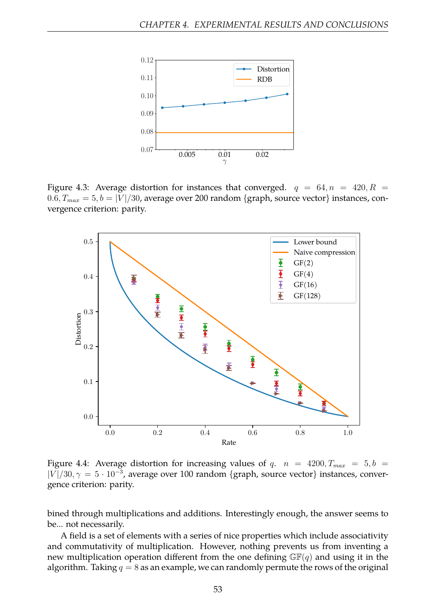<span id="page-53-0"></span>![](_page_53_Figure_1.jpeg)

Figure 4.3: Average distortion for instances that converged.  $q = 64, n = 420, R =$  $0.6, T_{max} = 5, b = |V|/30$ , average over 200 random {graph, source vector} instances, convergence criterion: parity.

<span id="page-53-1"></span>![](_page_53_Figure_3.jpeg)

Figure 4.4: Average distortion for increasing values of *q.*  $n = 4200, T_{max} = 5, b =$ *|V |*/30*, γ* = 5 *·* 10*<sup>−</sup>*<sup>3</sup> , average over 100 random {graph, source vector} instances, convergence criterion: parity.

bined through multiplications and additions. Interestingly enough, the answer seems to be... not necessarily.

A field is a set of elements with a series of nice properties which include associativity and commutativity of multiplication. However, nothing prevents us from inventing a new multiplication operation different from the one defining  $\mathbb{GF}(q)$  and using it in the algorithm. Taking  $q = 8$  as an example, we can randomly permute the rows of the original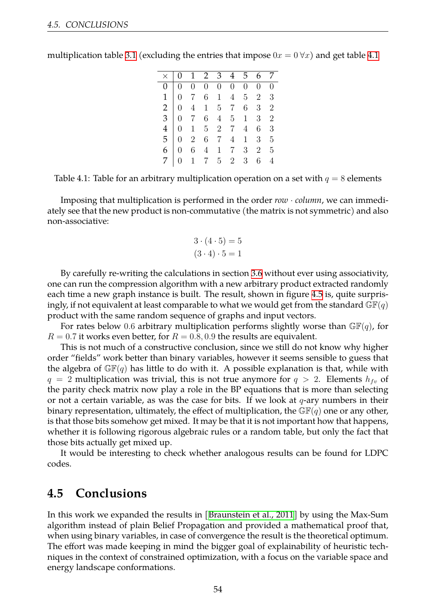|  |  |  | $\times$   0 1 2 3 4 5 6 7                                                                                                                                                                                                                                                                                            |  |
|--|--|--|-----------------------------------------------------------------------------------------------------------------------------------------------------------------------------------------------------------------------------------------------------------------------------------------------------------------------|--|
|  |  |  |                                                                                                                                                                                                                                                                                                                       |  |
|  |  |  |                                                                                                                                                                                                                                                                                                                       |  |
|  |  |  |                                                                                                                                                                                                                                                                                                                       |  |
|  |  |  |                                                                                                                                                                                                                                                                                                                       |  |
|  |  |  |                                                                                                                                                                                                                                                                                                                       |  |
|  |  |  | $\begin{array}{c cccccccc} \hline \circ & 1 & 2 & 3 & 1 & 3 & 0 & 7 \\ \hline 0 & 0 & 0 & 0 & 0 & 0 & 0 & 0 & 0 \\ 1 & 0 & 7 & 6 & 1 & 4 & 5 & 2 & 3 \\ 2 & 0 & 4 & 1 & 5 & 7 & 6 & 3 & 2 \\ 3 & 0 & 7 & 6 & 4 & 5 & 1 & 3 & 2 \\ 4 & 0 & 1 & 5 & 2 & 7 & 4 & 6 & 3 \\ 5 & 0 & 2 & 6 & 7 & 4 & 1 & 3 & 5 \end{array}$ |  |
|  |  |  | $6 \begin{array}{ccccccccc} 6 & 0 & 6 & 4 & 1 & 7 & 3 & 2 & 5 \end{array}$                                                                                                                                                                                                                                            |  |
|  |  |  | $0 \t1 \t7 \t5 \t2 \t3 \t6 \t4$                                                                                                                                                                                                                                                                                       |  |

<span id="page-54-1"></span>multiplication table [3.1](#page-43-2) (excluding the entries that impose  $0x = 0 \,\forall x$ ) and get table [4.1](#page-54-1)

Table 4.1: Table for an arbitrary multiplication operation on a set with  $q = 8$  elements

Imposing that multiplication is performed in the order *row · column*, we can immediately see that the new product is non-commutative (the matrix is not symmetric) and also non-associative:

$$
3 \cdot (4 \cdot 5) = 5
$$

$$
(3 \cdot 4) \cdot 5 = 1
$$

By carefully re-writing the calculations in section [3.6](#page-43-0) without ever using associativity, one can run the compression algorithm with a new arbitrary product extracted randomly each time a new graph instance is built. The result, shown in figure [4.5](#page-55-0) is, quite surprisingly, if not equivalent at least comparable to what we would get from the standard  $\mathbb{GF}(q)$ product with the same random sequence of graphs and input vectors.

For rates below 0.6 arbitrary multiplication performs slightly worse than  $GF(q)$ , for  $R = 0.7$  it works even better, for  $R = 0.8, 0.9$  the results are equivalent.

This is not much of a constructive conclusion, since we still do not know why higher order "fields" work better than binary variables, however it seems sensible to guess that the algebra of  $\mathbb{GF}(q)$  has little to do with it. A possible explanation is that, while with  $q = 2$  multiplication was trivial, this is not true anymore for  $q > 2$ . Elements  $h_{fv}$  of the parity check matrix now play a role in the BP equations that is more than selecting or not a certain variable, as was the case for bits. If we look at *q*-ary numbers in their binary representation, ultimately, the effect of multiplication, the  $\mathbb{GF}(q)$  one or any other, is that those bits somehow get mixed. It may be that it is not important how that happens, whether it is following rigorous algebraic rules or a random table, but only the fact that those bits actually get mixed up.

It would be interesting to check whether analogous results can be found for LDPC codes.

## <span id="page-54-0"></span>**4.5 Conclusions**

In this work we expanded the results in[[Braunstein et al., 2011](#page-57-7)] by using the Max-Sum algorithm instead of plain Belief Propagation and provided a mathematical proof that, when using binary variables, in case of convergence the result is the theoretical optimum. The effort was made keeping in mind the bigger goal of explainability of heuristic techniques in the context of constrained optimization, with a focus on the variable space and energy landscape conformations.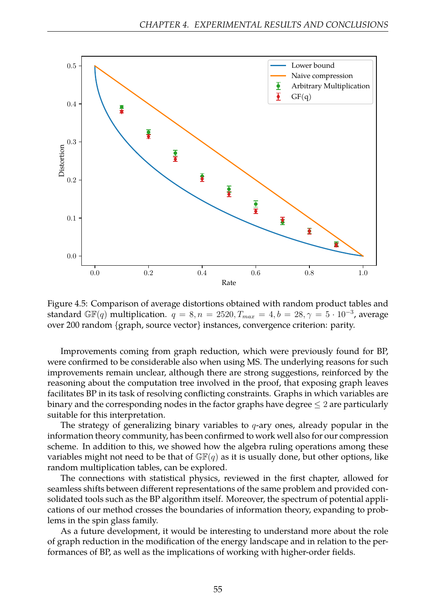<span id="page-55-0"></span>![](_page_55_Figure_1.jpeg)

Figure 4.5: Comparison of average distortions obtained with random product tables and standard GF(q) multiplication.  $q = 8, n = 2520, T_{max} = 4, b = 28, \gamma = 5 \cdot 10^{-3}$ , average over 200 random {graph, source vector} instances, convergence criterion: parity.

Improvements coming from graph reduction, which were previously found for BP, were confirmed to be considerable also when using MS. The underlying reasons for such improvements remain unclear, although there are strong suggestions, reinforced by the reasoning about the computation tree involved in the proof, that exposing graph leaves facilitates BP in its task of resolving conflicting constraints. Graphs in which variables are binary and the corresponding nodes in the factor graphs have degree *≤* 2 are particularly suitable for this interpretation.

The strategy of generalizing binary variables to *q*-ary ones, already popular in the information theory community, has been confirmed to work well also for our compression scheme. In addition to this, we showed how the algebra ruling operations among these variables might not need to be that of  $\mathbb{GF}(q)$  as it is usually done, but other options, like random multiplication tables, can be explored.

The connections with statistical physics, reviewed in the first chapter, allowed for seamless shifts between different representations of the same problem and provided consolidated tools such as the BP algorithm itself. Moreover, the spectrum of potential applications of our method crosses the boundaries of information theory, expanding to problems in the spin glass family.

As a future development, it would be interesting to understand more about the role of graph reduction in the modification of the energy landscape and in relation to the performances of BP, as well as the implications of working with higher-order fields.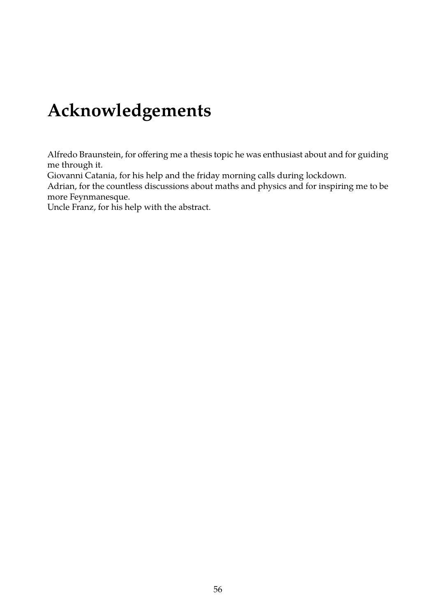# <span id="page-56-0"></span>**Acknowledgements**

Alfredo Braunstein, for offering me a thesis topic he was enthusiast about and for guiding me through it.

Giovanni Catania, for his help and the friday morning calls during lockdown.

Adrian, for the countless discussions about maths and physics and for inspiring me to be more Feynmanesque.

Uncle Franz, for his help with the abstract.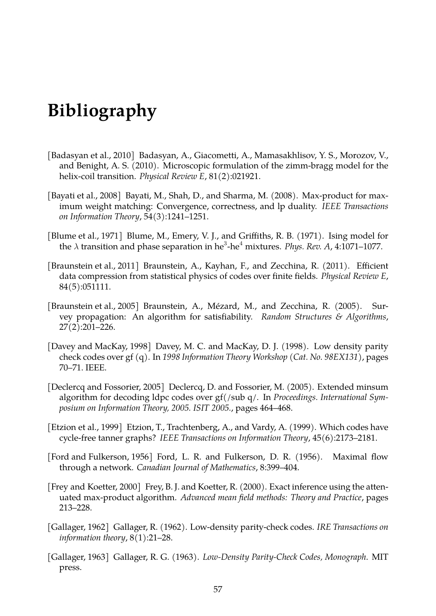# <span id="page-57-0"></span>**Bibliography**

- <span id="page-57-1"></span>[Badasyan et al., 2010] Badasyan, A., Giacometti, A., Mamasakhlisov, Y. S., Morozov, V., and Benight, A. S. (2010). Microscopic formulation of the zimm-bragg model for the helix-coil transition. *Physical Review E*, 81(2):021921.
- <span id="page-57-9"></span>[Bayati et al., 2008] Bayati, M., Shah, D., and Sharma, M. (2008). Max-product for maximum weight matching: Convergence, correctness, and lp duality. *IEEE Transactions on Information Theory*, 54(3):1241–1251.
- <span id="page-57-2"></span>[Blume et al., 1971] Blume, M., Emery, V. J., and Griffiths, R. B. (1971). Ising model for the *λ* transition and phase separation in he<sup>3</sup>-he<sup>4</sup> mixtures. *Phys. Rev. A,* 4:1071–1077.
- <span id="page-57-7"></span>[Braunstein et al., 2011] Braunstein, A., Kayhan, F., and Zecchina, R. (2011). Efficient data compression from statistical physics of codes over finite fields. *Physical Review E*, 84(5):051111.
- <span id="page-57-4"></span>[Braunstein et al., 2005] Braunstein, A., Mézard, M., and Zecchina, R. (2005). Survey propagation: An algorithm for satisfiability. *Random Structures & Algorithms*, 27(2):201–226.
- <span id="page-57-11"></span>[Davey and MacKay, 1998] Davey, M. C. and MacKay, D. J. (1998). Low density parity check codes over gf (q). In *1998 Information Theory Workshop (Cat. No. 98EX131)*, pages 70–71. IEEE.
- <span id="page-57-12"></span>[Declercq and Fossorier, 2005] Declercq, D. and Fossorier, M. (2005). Extended minsum algorithm for decoding ldpc codes over gf(/sub q/. In *Proceedings. International Symposium on Information Theory, 2005. ISIT 2005.*, pages 464–468.
- <span id="page-57-8"></span>[Etzion et al., 1999] Etzion, T., Trachtenberg, A., and Vardy, A. (1999). Which codes have cycle-free tanner graphs? *IEEE Transactions on Information Theory*, 45(6):2173–2181.
- <span id="page-57-3"></span>[Ford and Fulkerson, 1956] Ford, L. R. and Fulkerson, D. R. (1956). Maximal flow through a network. *Canadian Journal of Mathematics*, 8:399–404.
- <span id="page-57-10"></span>[Frey and Koetter, 2000] Frey, B. J. and Koetter, R. (2000). Exact inference using the attenuated max-product algorithm. *Advanced mean field methods: Theory and Practice*, pages 213–228.
- <span id="page-57-5"></span>[Gallager, 1962] Gallager, R. (1962). Low-density parity-check codes. *IRE Transactions on information theory*, 8(1):21–28.
- <span id="page-57-6"></span>[Gallager, 1963] Gallager, R. G. (1963). *Low-Density Parity-Check Codes, Monograph*. MIT press.